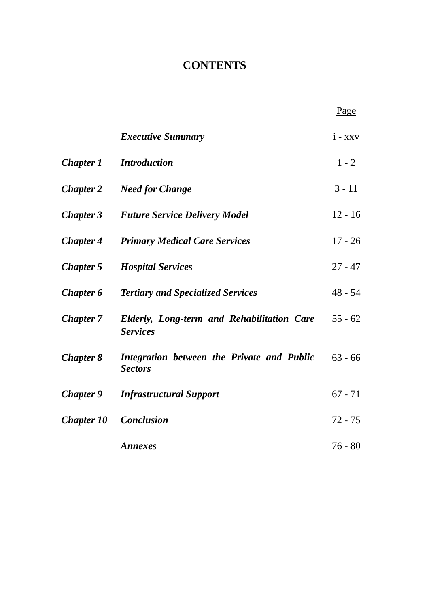# **CONTENTS**

|                   |                                                                      | Page      |
|-------------------|----------------------------------------------------------------------|-----------|
|                   | <b>Executive Summary</b>                                             | $i - xxv$ |
| <b>Chapter 1</b>  | <i>Introduction</i>                                                  | $1 - 2$   |
| <b>Chapter 2</b>  | <b>Need for Change</b>                                               | $3 - 11$  |
| <b>Chapter 3</b>  | <b>Future Service Delivery Model</b>                                 | $12 - 16$ |
| <b>Chapter 4</b>  | <b>Primary Medical Care Services</b>                                 | $17 - 26$ |
| <b>Chapter 5</b>  | <b>Hospital Services</b>                                             | $27 - 47$ |
| <b>Chapter 6</b>  | <b>Tertiary and Specialized Services</b>                             | $48 - 54$ |
| <b>Chapter 7</b>  | <b>Elderly, Long-term and Rehabilitation Care</b><br><b>Services</b> | $55 - 62$ |
| <b>Chapter 8</b>  | Integration between the Private and Public<br><b>Sectors</b>         | $63 - 66$ |
| <b>Chapter 9</b>  | <b>Infrastructural Support</b>                                       | $67 - 71$ |
| <b>Chapter 10</b> | <b>Conclusion</b>                                                    | $72 - 75$ |
|                   | <b>Annexes</b>                                                       | $76 - 80$ |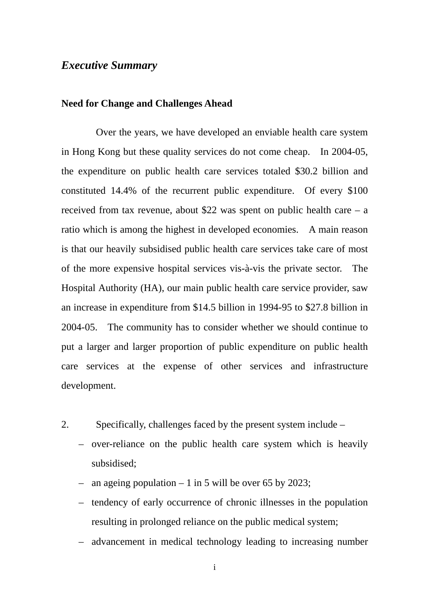## *Executive Summary*

#### **Need for Change and Challenges Ahead**

Over the years, we have developed an enviable health care system in Hong Kong but these quality services do not come cheap. In 2004-05, the expenditure on public health care services totaled \$30.2 billion and constituted 14.4% of the recurrent public expenditure. Of every \$100 received from tax revenue, about \$22 was spent on public health care  $- a$ ratio which is among the highest in developed economies. A main reason is that our heavily subsidised public health care services take care of most of the more expensive hospital services vis-à-vis the private sector. The Hospital Authority (HA), our main public health care service provider, saw an increase in expenditure from \$14.5 billion in 1994-95 to \$27.8 billion in 2004-05. The community has to consider whether we should continue to put a larger and larger proportion of public expenditure on public health care services at the expense of other services and infrastructure development.

- 2. Specifically, challenges faced by the present system include
	- over-reliance on the public health care system which is heavily subsidised;
	- an ageing population 1 in 5 will be over 65 by 2023;
	- tendency of early occurrence of chronic illnesses in the population resulting in prolonged reliance on the public medical system;
	- advancement in medical technology leading to increasing number

i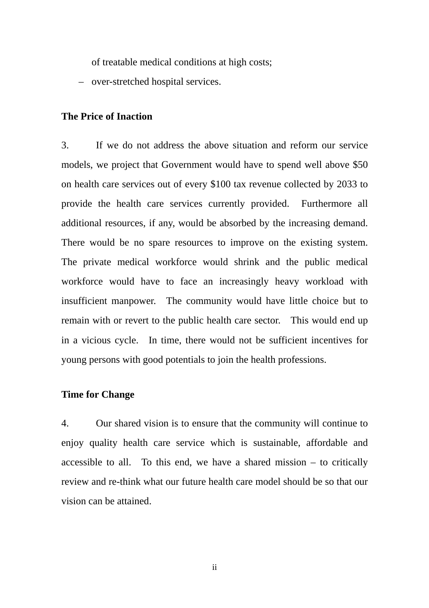of treatable medical conditions at high costs;

– over-stretched hospital services.

## **The Price of Inaction**

3. If we do not address the above situation and reform our service models, we project that Government would have to spend well above \$50 on health care services out of every \$100 tax revenue collected by 2033 to provide the health care services currently provided. Furthermore all additional resources, if any, would be absorbed by the increasing demand. There would be no spare resources to improve on the existing system. The private medical workforce would shrink and the public medical workforce would have to face an increasingly heavy workload with insufficient manpower. The community would have little choice but to remain with or revert to the public health care sector. This would end up in a vicious cycle. In time, there would not be sufficient incentives for young persons with good potentials to join the health professions.

#### **Time for Change**

4. Our shared vision is to ensure that the community will continue to enjoy quality health care service which is sustainable, affordable and accessible to all. To this end, we have a shared mission  $-$  to critically review and re-think what our future health care model should be so that our vision can be attained.

ii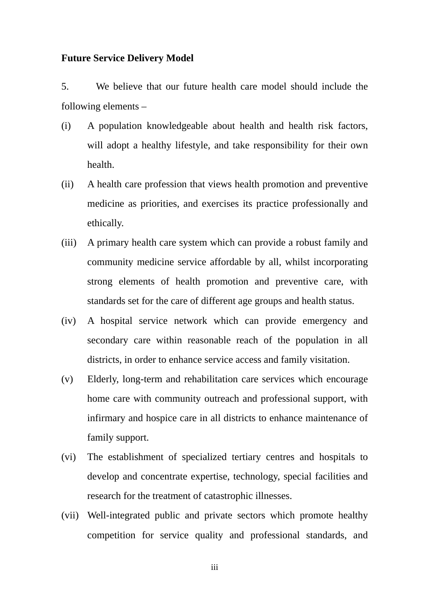#### **Future Service Delivery Model**

5. We believe that our future health care model should include the following elements –

- (i) A population knowledgeable about health and health risk factors, will adopt a healthy lifestyle, and take responsibility for their own health.
- (ii) A health care profession that views health promotion and preventive medicine as priorities, and exercises its practice professionally and ethically.
- (iii) A primary health care system which can provide a robust family and community medicine service affordable by all, whilst incorporating strong elements of health promotion and preventive care, with standards set for the care of different age groups and health status.
- (iv) A hospital service network which can provide emergency and secondary care within reasonable reach of the population in all districts, in order to enhance service access and family visitation.
- (v) Elderly, long-term and rehabilitation care services which encourage home care with community outreach and professional support, with infirmary and hospice care in all districts to enhance maintenance of family support.
- (vi) The establishment of specialized tertiary centres and hospitals to develop and concentrate expertise, technology, special facilities and research for the treatment of catastrophic illnesses.
- (vii) Well-integrated public and private sectors which promote healthy competition for service quality and professional standards, and

iii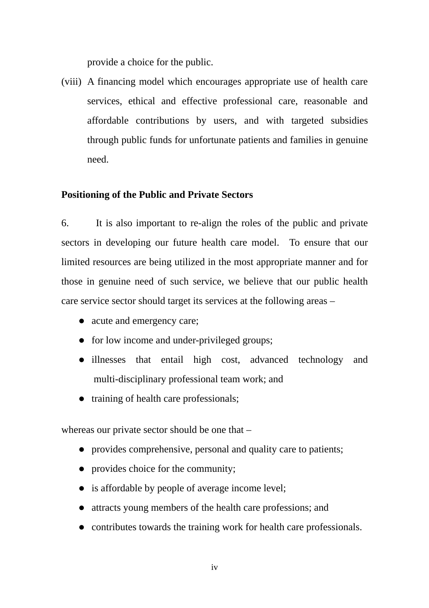provide a choice for the public.

(viii) A financing model which encourages appropriate use of health care services, ethical and effective professional care, reasonable and affordable contributions by users, and with targeted subsidies through public funds for unfortunate patients and families in genuine need.

## **Positioning of the Public and Private Sectors**

6. It is also important to re-align the roles of the public and private sectors in developing our future health care model. To ensure that our limited resources are being utilized in the most appropriate manner and for those in genuine need of such service, we believe that our public health care service sector should target its services at the following areas –

- acute and emergency care;
- $\bullet$  for low income and under-privileged groups;
- illnesses that entail high cost, advanced technology and multi-disciplinary professional team work; and
- $\bullet$  training of health care professionals;

whereas our private sector should be one that –

- provides comprehensive, personal and quality care to patients;
- $\bullet$  provides choice for the community;
- $\bullet$  is affordable by people of average income level;
- attracts young members of the health care professions; and
- contributes towards the training work for health care professionals.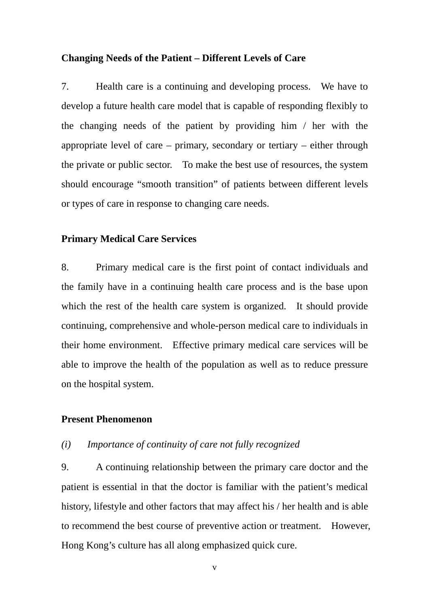#### **Changing Needs of the Patient – Different Levels of Care**

7. Health care is a continuing and developing process. We have to develop a future health care model that is capable of responding flexibly to the changing needs of the patient by providing him / her with the appropriate level of care – primary, secondary or tertiary – either through the private or public sector. To make the best use of resources, the system should encourage "smooth transition" of patients between different levels or types of care in response to changing care needs.

## **Primary Medical Care Services**

8. Primary medical care is the first point of contact individuals and the family have in a continuing health care process and is the base upon which the rest of the health care system is organized. It should provide continuing, comprehensive and whole-person medical care to individuals in their home environment. Effective primary medical care services will be able to improve the health of the population as well as to reduce pressure on the hospital system.

### **Present Phenomenon**

#### *(i) Importance of continuity of care not fully recognized*

 to recommend the best course of preventive action or treatment. However, 9. A continuing relationship between the primary care doctor and the patient is essential in that the doctor is familiar with the patient's medical history, lifestyle and other factors that may affect his / her health and is able Hong Kong's culture has all along emphasized quick cure.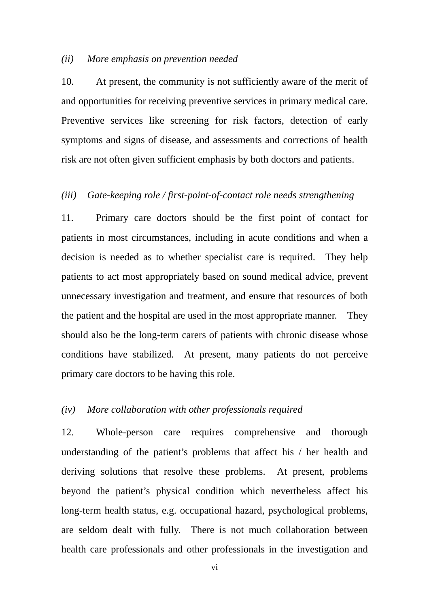#### *(ii) More emphasis on prevention needed*

10. At present, the community is not sufficiently aware of the merit of and opportunities for receiving preventive services in primary medical care. Preventive services like screening for risk factors, detection of early symptoms and signs of disease, and assessments and corrections of health risk are not often given sufficient emphasis by both doctors and patients.

## *(iii) Gate-keeping role / first-point-of-contact role needs strengthening*

 the patient and the hospital are used in the most appropriate manner. They 11. Primary care doctors should be the first point of contact for patients in most circumstances, including in acute conditions and when a decision is needed as to whether specialist care is required. They help patients to act most appropriately based on sound medical advice, prevent unnecessary investigation and treatment, and ensure that resources of both should also be the long-term carers of patients with chronic disease whose conditions have stabilized. At present, many patients do not perceive primary care doctors to be having this role.

## *(iv) More collaboration with other professionals required*

 are seldom dealt with fully. There is not much collaboration between 12. Whole-person care requires comprehensive and thorough understanding of the patient's problems that affect his / her health and deriving solutions that resolve these problems. At present, problems beyond the patient's physical condition which nevertheless affect his long-term health status, e.g. occupational hazard, psychological problems, health care professionals and other professionals in the investigation and

vi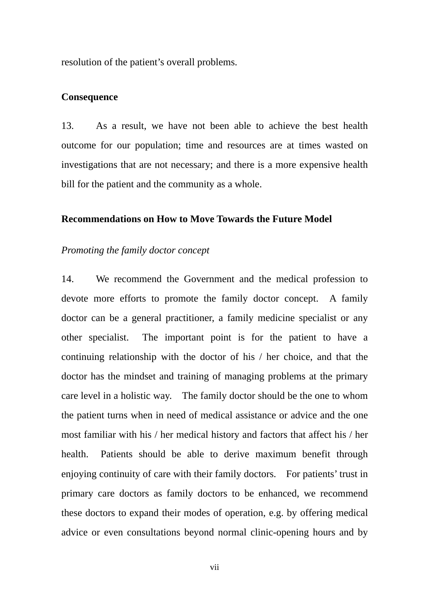resolution of the patient's overall problems.

#### **Consequence**

13. As a result, we have not been able to achieve the best health outcome for our population; time and resources are at times wasted on investigations that are not necessary; and there is a more expensive health bill for the patient and the community as a whole.

## **Recommendations on How to Move Towards the Future Model**

### *Promoting the family doctor concept*

 care level in a holistic way. The family doctor should be the one to whom enjoying continuity of care with their family doctors. For patients' trust in 14. We recommend the Government and the medical profession to devote more efforts to promote the family doctor concept. A family doctor can be a general practitioner, a family medicine specialist or any other specialist. The important point is for the patient to have a continuing relationship with the doctor of his / her choice, and that the doctor has the mindset and training of managing problems at the primary the patient turns when in need of medical assistance or advice and the one most familiar with his / her medical history and factors that affect his / her health. Patients should be able to derive maximum benefit through primary care doctors as family doctors to be enhanced, we recommend these doctors to expand their modes of operation, e.g. by offering medical advice or even consultations beyond normal clinic-opening hours and by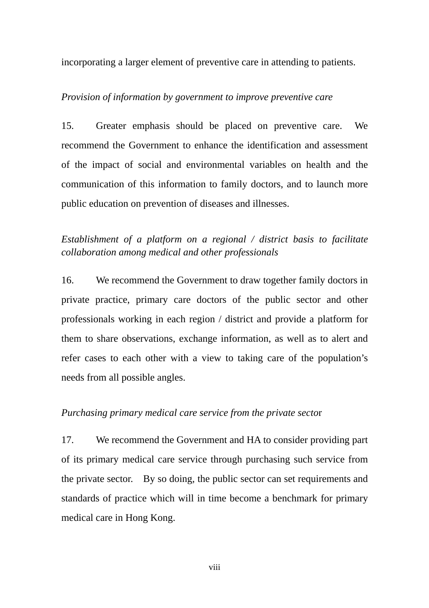incorporating a larger element of preventive care in attending to patients.

#### *Provision of information by government to improve preventive care*

15. Greater emphasis should be placed on preventive care. We recommend the Government to enhance the identification and assessment of the impact of social and environmental variables on health and the communication of this information to family doctors, and to launch more public education on prevention of diseases and illnesses.

## *Establishment of a platform on a regional / district basis to facilitate collaboration among medical and other professionals*

16. We recommend the Government to draw together family doctors in private practice, primary care doctors of the public sector and other professionals working in each region / district and provide a platform for them to share observations, exchange information, as well as to alert and refer cases to each other with a view to taking care of the population's needs from all possible angles.

#### *Purchasing primary medical care service from the private secto*r

17. We recommend the Government and HA to consider providing part of its primary medical care service through purchasing such service from the private sector. By so doing, the public sector can set requirements and standards of practice which will in time become a benchmark for primary medical care in Hong Kong.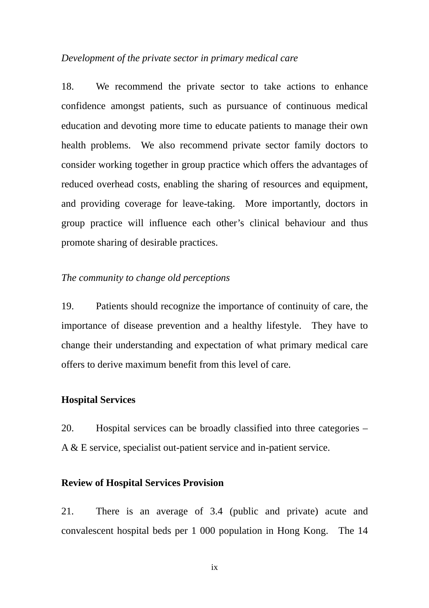#### *Development of the private sector in primary medical care*

18. We recommend the private sector to take actions to enhance confidence amongst patients, such as pursuance of continuous medical education and devoting more time to educate patients to manage their own health problems. We also recommend private sector family doctors to consider working together in group practice which offers the advantages of reduced overhead costs, enabling the sharing of resources and equipment, and providing coverage for leave-taking. More importantly, doctors in group practice will influence each other's clinical behaviour and thus promote sharing of desirable practices.

#### *The community to change old perceptions*

19. Patients should recognize the importance of continuity of care, the importance of disease prevention and a healthy lifestyle. They have to change their understanding and expectation of what primary medical care offers to derive maximum benefit from this level of care.

#### **Hospital Services**

20. Hospital services can be broadly classified into three categories – A & E service, specialist out-patient service and in-patient service.

#### **Review of Hospital Services Provision**

21. There is an average of 3.4 (public and private) acute and convalescent hospital beds per 1 000 population in Hong Kong. The 14

ix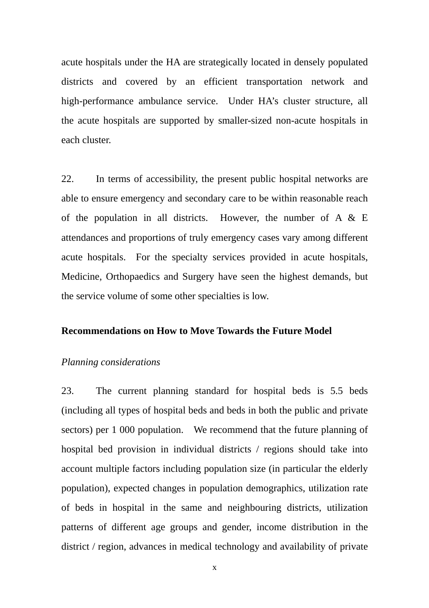each cluster. acute hospitals under the HA are strategically located in densely populated districts and covered by an efficient transportation network and high-performance ambulance service. Under HA's cluster structure, all the acute hospitals are supported by smaller-sized non-acute hospitals in

 the service volume of some other specialties is low. 22. In terms of accessibility, the present public hospital networks are able to ensure emergency and secondary care to be within reasonable reach of the population in all districts. However, the number of A & E attendances and proportions of truly emergency cases vary among different acute hospitals. For the specialty services provided in acute hospitals, Medicine, Orthopaedics and Surgery have seen the highest demands, but

#### **Recommendations on How to Move Towards the Future Model**

#### *Planning considerations*

23. The current planning standard for hospital beds is 5.5 beds (including all types of hospital beds and beds in both the public and private sectors) per 1 000 population. We recommend that the future planning of hospital bed provision in individual districts / regions should take into account multiple factors including population size (in particular the elderly population), expected changes in population demographics, utilization rate of beds in hospital in the same and neighbouring districts, utilization patterns of different age groups and gender, income distribution in the district / region, advances in medical technology and availability of private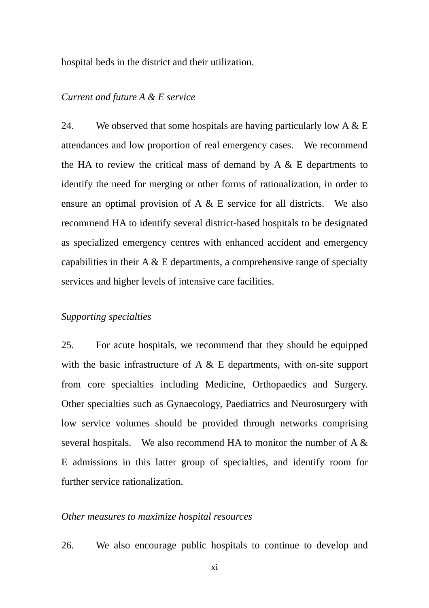hospital beds in the district and their utilization.

#### *Current and future A & E service*

24. We observed that some hospitals are having particularly low  $A \& B$ attendances and low proportion of real emergency cases. We recommend the HA to review the critical mass of demand by  $A \& E$  departments to identify the need for merging or other forms of rationalization, in order to ensure an optimal provision of A & E service for all districts. We also recommend HA to identify several district-based hospitals to be designated as specialized emergency centres with enhanced accident and emergency capabilities in their  $A \& B$  departments, a comprehensive range of specialty services and higher levels of intensive care facilities.

#### *Supporting specialties*

 from core specialties including Medicine, Orthopaedics and Surgery. Other specialties such as Gynaecology, Paediatrics and Neurosurgery with 25. For acute hospitals, we recommend that they should be equipped with the basic infrastructure of A  $\&$  E departments, with on-site support low service volumes should be provided through networks comprising several hospitals. We also recommend HA to monitor the number of A  $\&$ E admissions in this latter group of specialties, and identify room for further service rationalization.

#### *Other measures to maximize hospital resources*

26. We also encourage public hospitals to continue to develop and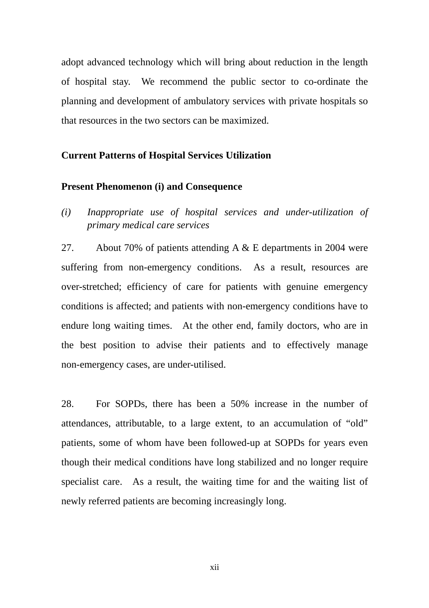adopt advanced technology which will bring about reduction in the length of hospital stay. We recommend the public sector to co-ordinate the planning and development of ambulatory services with private hospitals so that resources in the two sectors can be maximized.

#### **Current Patterns of Hospital Services Utilization**

#### **Present Phenomenon (i) and Consequence**

*(i) Inappropriate use of hospital services and under-utilization of primary medical care services* 

27. About 70% of patients attending A & E departments in 2004 were suffering from non-emergency conditions. As a result, resources are over-stretched; efficiency of care for patients with genuine emergency conditions is affected; and patients with non-emergency conditions have to endure long waiting times. At the other end, family doctors, who are in the best position to advise their patients and to effectively manage non-emergency cases, are under-utilised.

28. For SOPDs, there has been a 50% increase in the number of attendances, attributable, to a large extent, to an accumulation of "old" patients, some of whom have been followed-up at SOPDs for years even though their medical conditions have long stabilized and no longer require specialist care. As a result, the waiting time for and the waiting list of newly referred patients are becoming increasingly long.

xii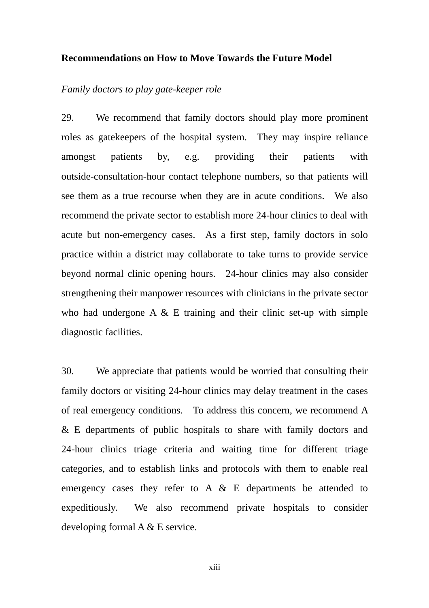#### **Recommendations on How to Move Towards the Future Model**

#### *Family doctors to play gate-keeper role*

29. We recommend that family doctors should play more prominent roles as gatekeepers of the hospital system. They may inspire reliance amongst patients by, e.g. providing their patients with outside-consultation-hour contact telephone numbers, so that patients will see them as a true recourse when they are in acute conditions. We also recommend the private sector to establish more 24-hour clinics to deal with acute but non-emergency cases. As a first step, family doctors in solo practice within a district may collaborate to take turns to provide service beyond normal clinic opening hours. 24-hour clinics may also consider strengthening their manpower resources with clinicians in the private sector who had undergone  $A \& E$  training and their clinic set-up with simple diagnostic facilities.

 of real emergency conditions. To address this concern, we recommend A 30. We appreciate that patients would be worried that consulting their family doctors or visiting 24-hour clinics may delay treatment in the cases & E departments of public hospitals to share with family doctors and 24-hour clinics triage criteria and waiting time for different triage categories, and to establish links and protocols with them to enable real emergency cases they refer to A & E departments be attended to expeditiously. We also recommend private hospitals to consider developing formal A & E service.

xiii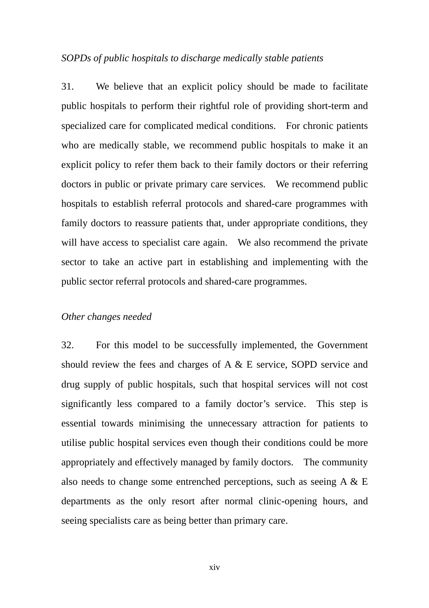#### *SOPDs of public hospitals to discharge medically stable patients*

31. We believe that an explicit policy should be made to facilitate public hospitals to perform their rightful role of providing short-term and specialized care for complicated medical conditions. For chronic patients who are medically stable, we recommend public hospitals to make it an explicit policy to refer them back to their family doctors or their referring doctors in public or private primary care services. We recommend public hospitals to establish referral protocols and shared-care programmes with family doctors to reassure patients that, under appropriate conditions, they will have access to specialist care again. We also recommend the private sector to take an active part in establishing and implementing with the public sector referral protocols and shared-care programmes.

#### *Other changes needed*

32. For this model to be successfully implemented, the Government should review the fees and charges of A & E service, SOPD service and drug supply of public hospitals, such that hospital services will not cost significantly less compared to a family doctor's service. This step is essential towards minimising the unnecessary attraction for patients to utilise public hospital services even though their conditions could be more appropriately and effectively managed by family doctors. The community also needs to change some entrenched perceptions, such as seeing  $A \& B$ departments as the only resort after normal clinic-opening hours, and seeing specialists care as being better than primary care.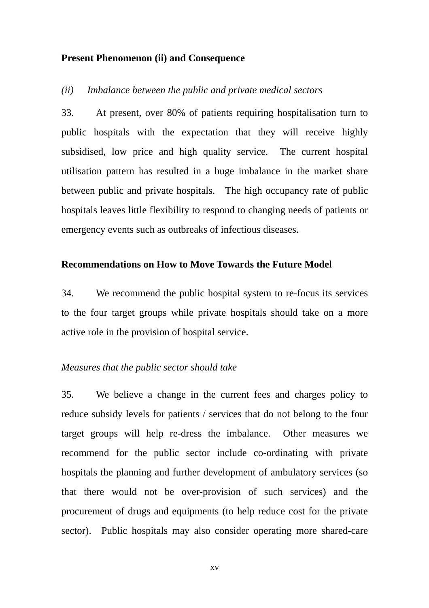#### **Present Phenomenon (ii) and Consequence**

*(ii) Imbalance between the public and private medical sectors* 

33. At present, over 80% of patients requiring hospitalisation turn to public hospitals with the expectation that they will receive highly subsidised, low price and high quality service. The current hospital utilisation pattern has resulted in a huge imbalance in the market share between public and private hospitals. The high occupancy rate of public hospitals leaves little flexibility to respond to changing needs of patients or emergency events such as outbreaks of infectious diseases.

#### **Recommendations on How to Move Towards the Future Mode**l

34. We recommend the public hospital system to re-focus its services to the four target groups while private hospitals should take on a more active role in the provision of hospital service.

#### *Measures that the public sector should take*

35. We believe a change in the current fees and charges policy to reduce subsidy levels for patients / services that do not belong to the four target groups will help re-dress the imbalance. Other measures we recommend for the public sector include co-ordinating with private hospitals the planning and further development of ambulatory services (so that there would not be over-provision of such services) and the procurement of drugs and equipments (to help reduce cost for the private sector). Public hospitals may also consider operating more shared-care

xv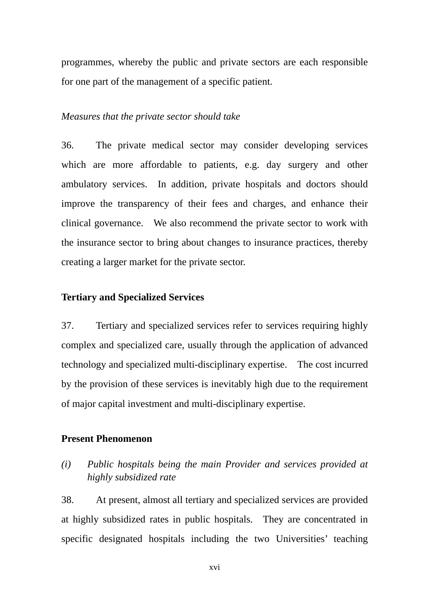programmes, whereby the public and private sectors are each responsible for one part of the management of a specific patient.

### *Measures that the private sector should take*

36. The private medical sector may consider developing services which are more affordable to patients, e.g. day surgery and other ambulatory services. In addition, private hospitals and doctors should improve the transparency of their fees and charges, and enhance their clinical governance. We also recommend the private sector to work with the insurance sector to bring about changes to insurance practices, thereby creating a larger market for the private sector.

### **Tertiary and Specialized Services**

37. Tertiary and specialized services refer to services requiring highly complex and specialized care, usually through the application of advanced technology and specialized multi-disciplinary expertise. The cost incurred by the provision of these services is inevitably high due to the requirement of major capital investment and multi-disciplinary expertise.

## **Present Phenomenon**

## *(i) Public hospitals being the main Provider and services provided at highly subsidized rate*

38. At present, almost all tertiary and specialized services are provided at highly subsidized rates in public hospitals. They are concentrated in specific designated hospitals including the two Universities' teaching

xvi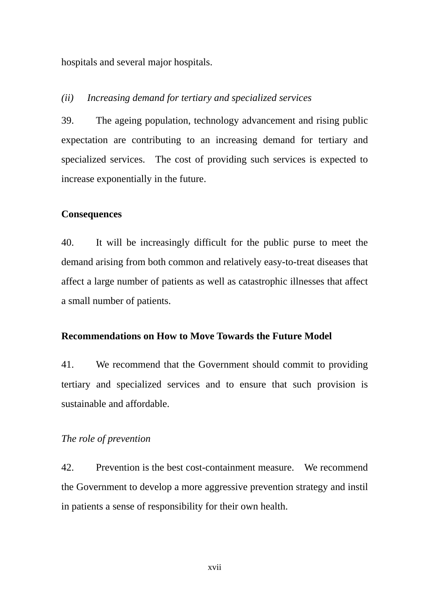hospitals and several major hospitals.

#### *(ii) Increasing demand for tertiary and specialized services*

39. The ageing population, technology advancement and rising public expectation are contributing to an increasing demand for tertiary and specialized services. The cost of providing such services is expected to increase exponentially in the future.

#### **Consequences**

40. It will be increasingly difficult for the public purse to meet the demand arising from both common and relatively easy-to-treat diseases that affect a large number of patients as well as catastrophic illnesses that affect a small number of patients.

## **Recommendations on How to Move Towards the Future Model**

41. We recommend that the Government should commit to providing tertiary and specialized services and to ensure that such provision is sustainable and affordable.

## *The role of prevention*

42. Prevention is the best cost-containment measure. We recommend the Government to develop a more aggressive prevention strategy and instil in patients a sense of responsibility for their own health.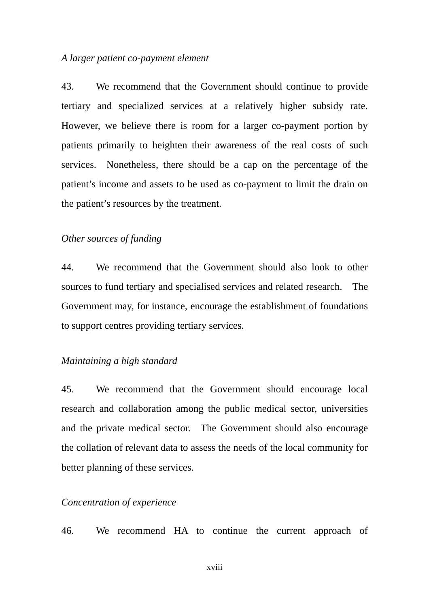#### *A larger patient co-payment element*

43. We recommend that the Government should continue to provide tertiary and specialized services at a relatively higher subsidy rate. However, we believe there is room for a larger co-payment portion by patients primarily to heighten their awareness of the real costs of such services. Nonetheless, there should be a cap on the percentage of the patient's income and assets to be used as co-payment to limit the drain on the patient's resources by the treatment.

#### *Other sources of funding*

44. We recommend that the Government should also look to other sources to fund tertiary and specialised services and related research. The Government may, for instance, encourage the establishment of foundations to support centres providing tertiary services.

#### *Maintaining a high standard*

45. We recommend that the Government should encourage local research and collaboration among the public medical sector, universities and the private medical sector. The Government should also encourage the collation of relevant data to assess the needs of the local community for better planning of these services.

## *Concentration of experience*

46. We recommend HA to continue the current approach of

xviii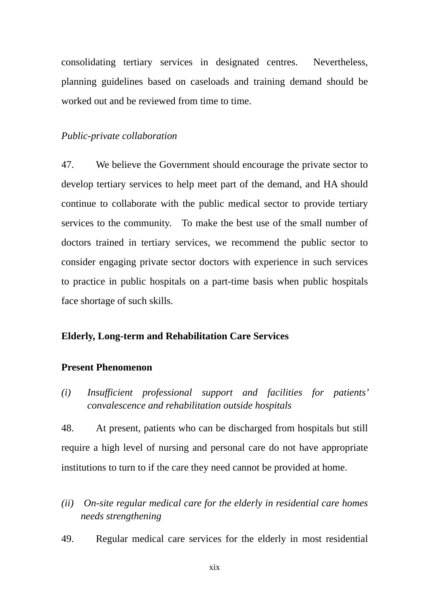consolidating tertiary services in designated centres. Nevertheless, planning guidelines based on caseloads and training demand should be worked out and be reviewed from time to time.

#### *Public-private collaboration*

 services to the community. To make the best use of the small number of 47. We believe the Government should encourage the private sector to develop tertiary services to help meet part of the demand, and HA should continue to collaborate with the public medical sector to provide tertiary doctors trained in tertiary services, we recommend the public sector to consider engaging private sector doctors with experience in such services to practice in public hospitals on a part-time basis when public hospitals face shortage of such skills.

## **Elderly, Long-term and Rehabilitation Care Services**

#### **Present Phenomenon**

*(i) Insufficient professional support and facilities for patients' convalescence and rehabilitation outside hospitals* 

48. At present, patients who can be discharged from hospitals but still require a high level of nursing and personal care do not have appropriate institutions to turn to if the care they need cannot be provided at home.

- *(ii) On-site regular medical care for the elderly in residential care homes needs strengthening*
- 49. Regular medical care services for the elderly in most residential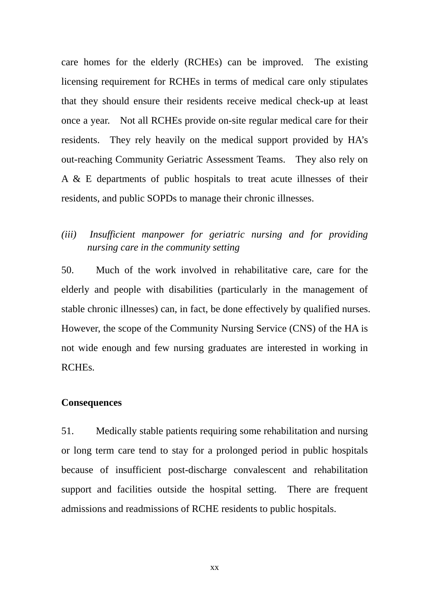care homes for the elderly (RCHEs) can be improved. The existing licensing requirement for RCHEs in terms of medical care only stipulates that they should ensure their residents receive medical check-up at least once a year. Not all RCHEs provide on-site regular medical care for their residents. They rely heavily on the medical support provided by HA's out-reaching Community Geriatric Assessment Teams. They also rely on A & E departments of public hospitals to treat acute illnesses of their residents, and public SOPDs to manage their chronic illnesses.

## *(iii) Insufficient manpower for geriatric nursing and for providing nursing care in the community setting*

50. Much of the work involved in rehabilitative care, care for the elderly and people with disabilities (particularly in the management of stable chronic illnesses) can, in fact, be done effectively by qualified nurses. However, the scope of the Community Nursing Service (CNS) of the HA is not wide enough and few nursing graduates are interested in working in RCHEs.

#### **Consequences**

51. Medically stable patients requiring some rehabilitation and nursing or long term care tend to stay for a prolonged period in public hospitals because of insufficient post-discharge convalescent and rehabilitation support and facilities outside the hospital setting. There are frequent admissions and readmissions of RCHE residents to public hospitals.

xx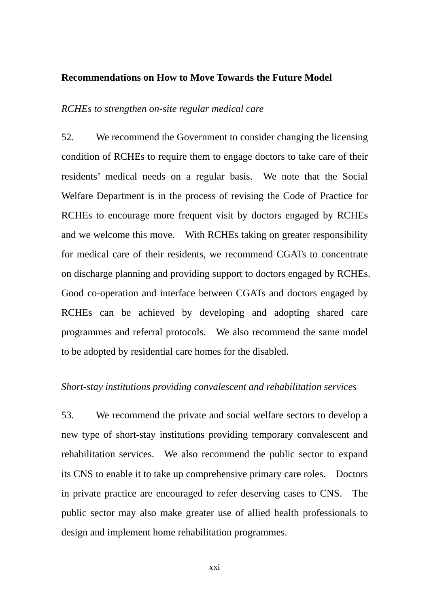#### **Recommendations on How to Move Towards the Future Model**

#### *RCHEs to strengthen on-site regular medical care*

52. We recommend the Government to consider changing the licensing condition of RCHEs to require them to engage doctors to take care of their residents' medical needs on a regular basis. We note that the Social Welfare Department is in the process of revising the Code of Practice for RCHEs to encourage more frequent visit by doctors engaged by RCHEs and we welcome this move. With RCHEs taking on greater responsibility for medical care of their residents, we recommend CGATs to concentrate on discharge planning and providing support to doctors engaged by RCHEs. Good co-operation and interface between CGATs and doctors engaged by RCHEs can be achieved by developing and adopting shared care programmes and referral protocols. We also recommend the same model to be adopted by residential care homes for the disabled.

#### *Short-stay institutions providing convalescent and rehabilitation services*

53. We recommend the private and social welfare sectors to develop a new type of short-stay institutions providing temporary convalescent and rehabilitation services. We also recommend the public sector to expand its CNS to enable it to take up comprehensive primary care roles. Doctors in private practice are encouraged to refer deserving cases to CNS. The public sector may also make greater use of allied health professionals to design and implement home rehabilitation programmes.

xxi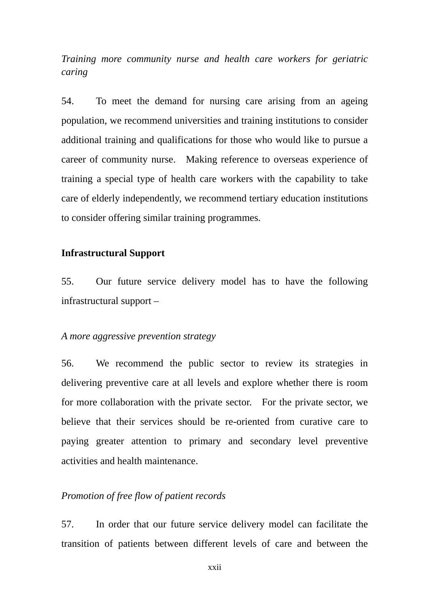*Training more community nurse and health care workers for geriatric caring* 

54. To meet the demand for nursing care arising from an ageing population, we recommend universities and training institutions to consider additional training and qualifications for those who would like to pursue a career of community nurse. Making reference to overseas experience of training a special type of health care workers with the capability to take care of elderly independently, we recommend tertiary education institutions to consider offering similar training programmes.

#### **Infrastructural Support**

55. Our future service delivery model has to have the following infrastructural support –

#### *A more aggressive prevention strategy*

56. We recommend the public sector to review its strategies in delivering preventive care at all levels and explore whether there is room for more collaboration with the private sector. For the private sector, we believe that their services should be re-oriented from curative care to paying greater attention to primary and secondary level preventive activities and health maintenance.

## *Promotion of free flow of patient records*

57. In order that our future service delivery model can facilitate the transition of patients between different levels of care and between the

xxii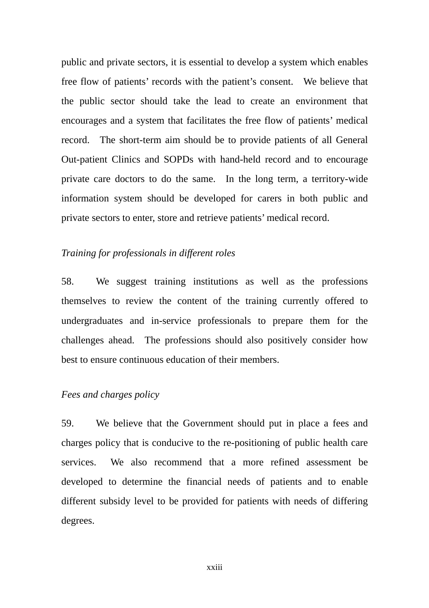public and private sectors, it is essential to develop a system which enables free flow of patients' records with the patient's consent. We believe that the public sector should take the lead to create an environment that encourages and a system that facilitates the free flow of patients' medical record. The short-term aim should be to provide patients of all General Out-patient Clinics and SOPDs with hand-held record and to encourage private care doctors to do the same. In the long term, a territory-wide information system should be developed for carers in both public and private sectors to enter, store and retrieve patients' medical record.

#### *Training for professionals in different roles*

58. We suggest training institutions as well as the professions themselves to review the content of the training currently offered to undergraduates and in-service professionals to prepare them for the challenges ahead. The professions should also positively consider how best to ensure continuous education of their members.

#### *Fees and charges policy*

59. We believe that the Government should put in place a fees and charges policy that is conducive to the re-positioning of public health care services. We also recommend that a more refined assessment be developed to determine the financial needs of patients and to enable different subsidy level to be provided for patients with needs of differing degrees.

xxiii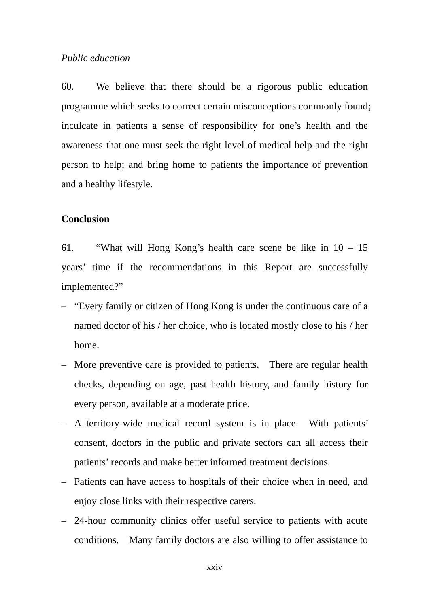#### *Public education*

60. We believe that there should be a rigorous public education programme which seeks to correct certain misconceptions commonly found; inculcate in patients a sense of responsibility for one's health and the awareness that one must seek the right level of medical help and the right person to help; and bring home to patients the importance of prevention and a healthy lifestyle.

#### **Conclusion**

61. "What will Hong Kong's health care scene be like in 10 – 15 years' time if the recommendations in this Report are successfully implemented?"

- "Every family or citizen of Hong Kong is under the continuous care of a named doctor of his / her choice, who is located mostly close to his / her home.
- More preventive care is provided to patients. There are regular health checks, depending on age, past health history, and family history for every person, available at a moderate price.
- A territory-wide medical record system is in place. With patients' consent, doctors in the public and private sectors can all access their patients' records and make better informed treatment decisions.
- Patients can have access to hospitals of their choice when in need, and enjoy close links with their respective carers.
- 24-hour community clinics offer useful service to patients with acute conditions. Many family doctors are also willing to offer assistance to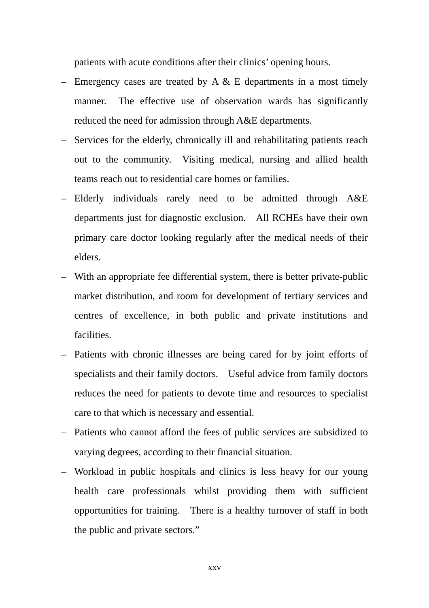patients with acute conditions after their clinics' opening hours.

- Emergency cases are treated by A  $\&$  E departments in a most timely manner. The effective use of observation wards has significantly reduced the need for admission through A&E departments.
- Services for the elderly, chronically ill and rehabilitating patients reach out to the community. Visiting medical, nursing and allied health teams reach out to residential care homes or families.
- Elderly individuals rarely need to be admitted through A&E departments just for diagnostic exclusion. All RCHEs have their own primary care doctor looking regularly after the medical needs of their elders.
- With an appropriate fee differential system, there is better private-public market distribution, and room for development of tertiary services and centres of excellence, in both public and private institutions and facilities.
- Patients with chronic illnesses are being cared for by joint efforts of specialists and their family doctors. Useful advice from family doctors reduces the need for patients to devote time and resources to specialist care to that which is necessary and essential.
- Patients who cannot afford the fees of public services are subsidized to varying degrees, according to their financial situation.
- Workload in public hospitals and clinics is less heavy for our young health care professionals whilst providing them with sufficient opportunities for training. There is a healthy turnover of staff in both the public and private sectors."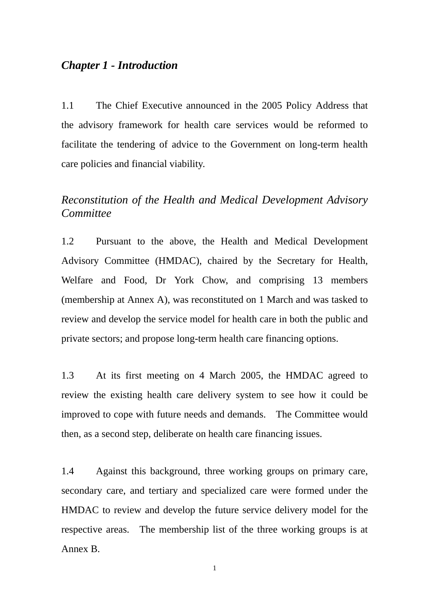## *Chapter 1 - Introduction*

1.1 The Chief Executive announced in the 2005 Policy Address that the advisory framework for health care services would be reformed to facilitate the tendering of advice to the Government on long-term health care policies and financial viability.

## *Reconstitution of the Health and Medical Development Advisory Committee*

1.2 Pursuant to the above, the Health and Medical Development Advisory Committee (HMDAC), chaired by the Secretary for Health, Welfare and Food, Dr York Chow, and comprising 13 members (membership at Annex A), was reconstituted on 1 March and was tasked to review and develop the service model for health care in both the public and private sectors; and propose long-term health care financing options.

1.3 At its first meeting on 4 March 2005, the HMDAC agreed to review the existing health care delivery system to see how it could be improved to cope with future needs and demands. The Committee would then, as a second step, deliberate on health care financing issues.

1.4 Against this background, three working groups on primary care, secondary care, and tertiary and specialized care were formed under the HMDAC to review and develop the future service delivery model for the respective areas. The membership list of the three working groups is at Annex B.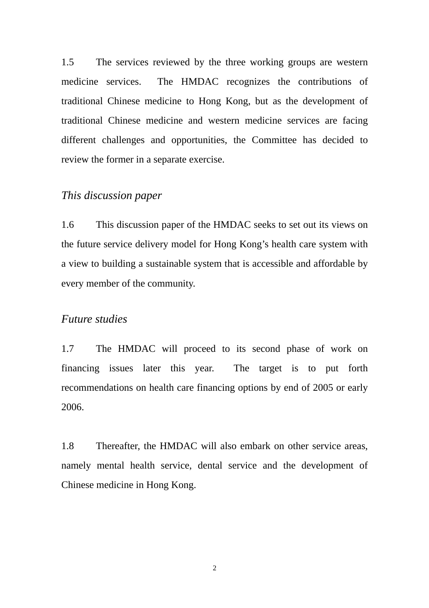1.5 The services reviewed by the three working groups are western medicine services. The HMDAC recognizes the contributions of traditional Chinese medicine to Hong Kong, but as the development of traditional Chinese medicine and western medicine services are facing different challenges and opportunities, the Committee has decided to review the former in a separate exercise.

## *This discussion paper*

1.6 This discussion paper of the HMDAC seeks to set out its views on the future service delivery model for Hong Kong's health care system with a view to building a sustainable system that is accessible and affordable by every member of the community.

### *Future studies*

1.7 The HMDAC will proceed to its second phase of work on financing issues later this year. The target is to put forth recommendations on health care financing options by end of 2005 or early 2006.

1.8 Thereafter, the HMDAC will also embark on other service areas, namely mental health service, dental service and the development of Chinese medicine in Hong Kong.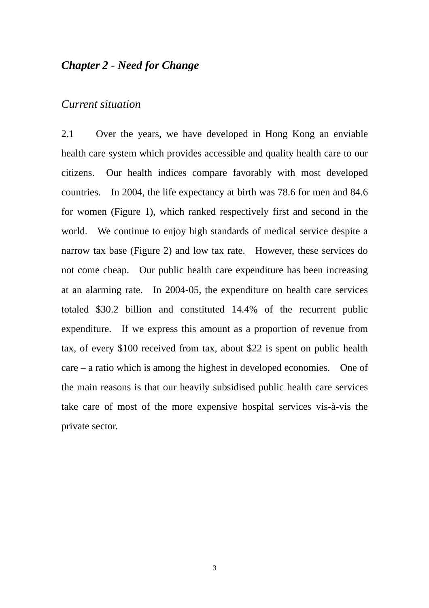## *Chapter 2 - Need for Change*

## *Current situation*

2.1 Over the years, we have developed in Hong Kong an enviable health care system which provides accessible and quality health care to our citizens. Our health indices compare favorably with most developed countries. In 2004, the life expectancy at birth was 78.6 for men and 84.6 for women (Figure 1), which ranked respectively first and second in the world. We continue to enjoy high standards of medical service despite a narrow tax base (Figure 2) and low tax rate. However, these services do not come cheap. Our public health care expenditure has been increasing at an alarming rate. In 2004-05, the expenditure on health care services totaled \$30.2 billion and constituted 14.4% of the recurrent public expenditure. If we express this amount as a proportion of revenue from tax, of every \$100 received from tax, about \$22 is spent on public health care – a ratio which is among the highest in developed economies. One of the main reasons is that our heavily subsidised public health care services take care of most of the more expensive hospital services vis-à-vis the private sector.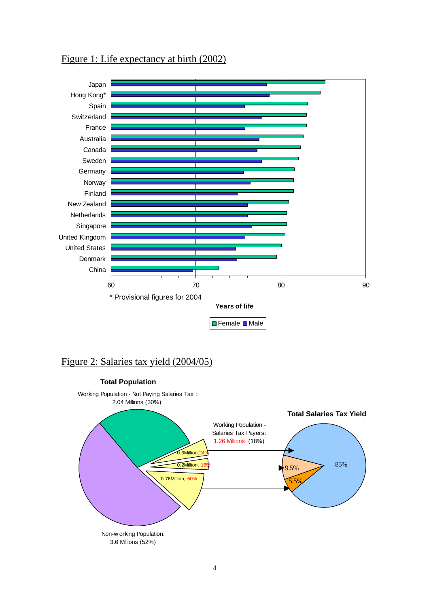

## Figure 1: Life expectancy at birth (2002)

## Figure 2: Salaries tax yield (2004/05)

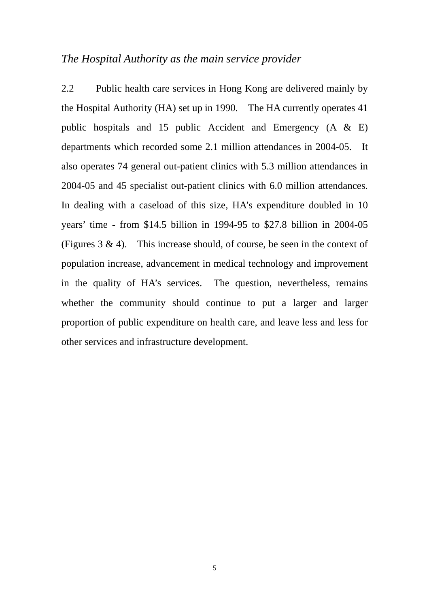## *The Hospital Authority as the main service provider*

 2004-05 and 45 specialist out-patient clinics with 6.0 million attendances. 2.2 Public health care services in Hong Kong are delivered mainly by the Hospital Authority (HA) set up in 1990. The HA currently operates 41 public hospitals and 15 public Accident and Emergency (A & E) departments which recorded some 2.1 million attendances in 2004-05. It also operates 74 general out-patient clinics with 5.3 million attendances in In dealing with a caseload of this size, HA's expenditure doubled in 10 years' time - from \$14.5 billion in 1994-95 to \$27.8 billion in 2004-05 (Figures  $3 \& 4$ ). This increase should, of course, be seen in the context of population increase, advancement in medical technology and improvement in the quality of HA's services. The question, nevertheless, remains whether the community should continue to put a larger and larger proportion of public expenditure on health care, and leave less and less for other services and infrastructure development.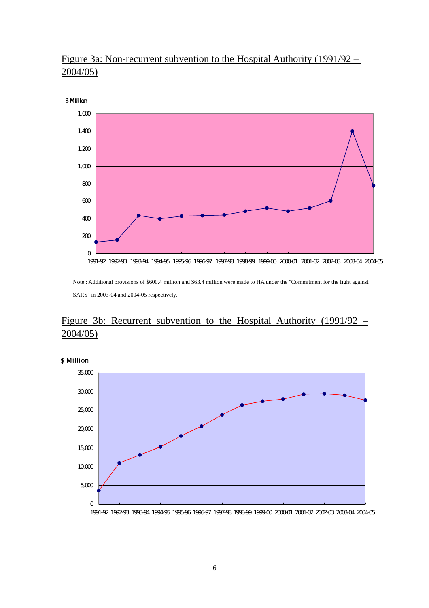## Figure 3a: Non-recurrent subvention to the Hospital Authority (1991/92 – 2004/05)



 SARS" in 2003-04 and 2004-05 respectively. Note : Additional provisions of \$600.4 million and \$63.4 million were made to HA under the "Commitment for the fight against

## Figure 3b: Recurrent subvention to the Hospital Authority  $(1991/92 -$ 2004/05)



\$ Million

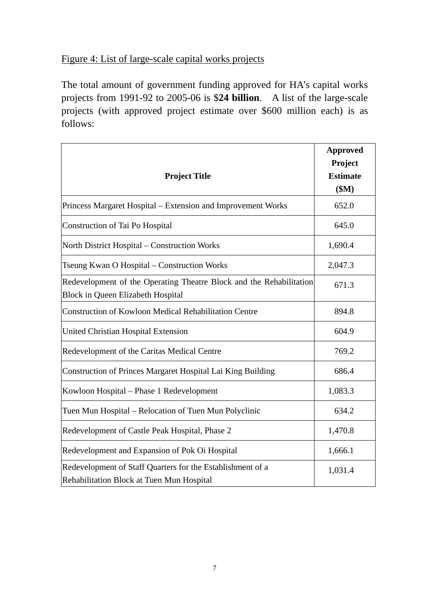## Figure 4: List of large-scale capital works projects

The total amount of government funding approved for HA's capital works projects from 1991-92 to 2005-06 is \$**24 billion**. A list of the large-scale projects (with approved project estimate over \$600 million each) is as follows:

| <b>Project Title</b>                                                                                            | <b>Approved</b><br>Project<br><b>Estimate</b><br>\$M\$ |
|-----------------------------------------------------------------------------------------------------------------|--------------------------------------------------------|
| Princess Margaret Hospital – Extension and Improvement Works                                                    | 652.0                                                  |
| Construction of Tai Po Hospital                                                                                 | 645.0                                                  |
| North District Hospital – Construction Works                                                                    | 1,690.4                                                |
| Tseung Kwan O Hospital – Construction Works                                                                     | 2,047.3                                                |
| Redevelopment of the Operating Theatre Block and the Rehabilitation<br><b>Block in Queen Elizabeth Hospital</b> | 671.3                                                  |
| Construction of Kowloon Medical Rehabilitation Centre                                                           | 894.8                                                  |
| <b>United Christian Hospital Extension</b>                                                                      | 604.9                                                  |
| Redevelopment of the Caritas Medical Centre                                                                     | 769.2                                                  |
| Construction of Princes Margaret Hospital Lai King Building                                                     | 686.4                                                  |
| Kowloon Hospital – Phase 1 Redevelopment                                                                        | 1,083.3                                                |
| Tuen Mun Hospital – Relocation of Tuen Mun Polyclinic                                                           | 634.2                                                  |
| Redevelopment of Castle Peak Hospital, Phase 2                                                                  | 1,470.8                                                |
| Redevelopment and Expansion of Pok Oi Hospital                                                                  | 1,666.1                                                |
| Redevelopment of Staff Quarters for the Establishment of a<br>Rehabilitation Block at Tuen Mun Hospital         | 1,031.4                                                |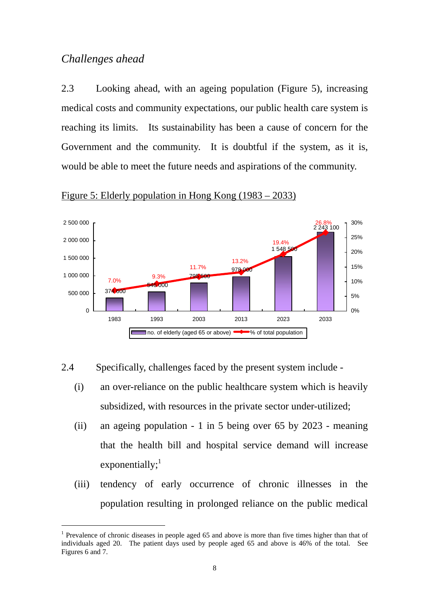## *Challenges ahead*

 $\overline{a}$ 

2.3 Looking ahead, with an ageing population (Figure 5), increasing medical costs and community expectations, our public health care system is reaching its limits. Its sustainability has been a cause of concern for the Government and the community. It is doubtful if the system, as it is, would be able to meet the future needs and aspirations of the community.



Figure 5: Elderly population in Hong Kong (1983 – 2033)

 $2.4$ 2.4 Specifically, challenges faced by the present system include -

- (i) an over-reliance on the public healthcare system which is heavily subsidized, with resources in the private sector under-utilized;
- exponentially; $<sup>1</sup>$ </sup> (ii) an ageing population - 1 in 5 being over 65 by 2023 - meaning that the health bill and hospital service demand will increase
- (iii) tendency of early occurrence of chronic illnesses in the population resulting in prolonged reliance on the public medical

 individuals aged 20. The patient days used by people aged 65 and above is 46% of the total. See Figures 6 and 7. <sup>1</sup> Prevalence of chronic diseases in people aged 65 and above is more than five times higher than that of Figures 6 and 7. 8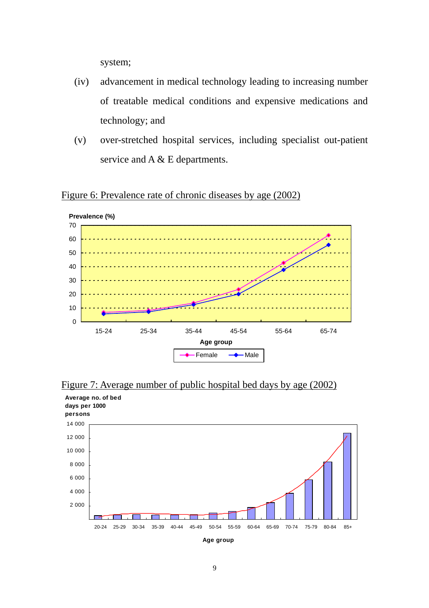system;

- (iv) advancement in medical technology leading to increasing number of treatable medical conditions and expensive medications and technology; and
- (v) over-stretched ho spital services, including specialist out-patient service and A & E departments.





Figure 7: Average number of public hospital bed days by age (2002)



**Age group**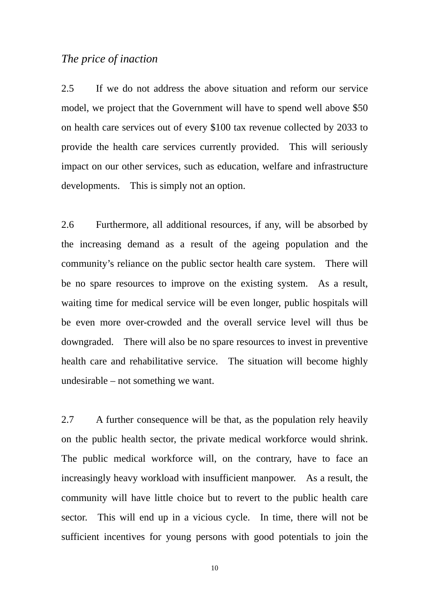## *The price of inaction*

2.5 If we do not address the above situation and reform our service model, we project that the Government will have to spend well above \$50 on health care services out of every \$100 tax revenue collected by 2033 to provide the health care services currently provided. This will seriously impact on our other services, such as education, welfare and infrastructure developments. This is simply not an option.

2.6 Furthermore, all additional resources, if any, will be absorbed by the increasing demand as a result of the ageing population and the community's reliance on the public sector health care system. There will be no spare resources to improve on the existing system. As a result, waiting time for medical service will be even longer, public hospitals will be even more over-crowded and the overall service level will thus be downgraded. There will also be no spare resources to invest in preventive health care and rehabilitative service. The situation will become highly undesirable – not something we want.

2.7 A further consequence will be that, as the population rely heavily on the public health sector, the private medical workforce would shrink. The public medical workforce will, on the contrary, have to face an increasingly heavy workload with insufficient manpower. As a result, the community will have little choice but to revert to the public health care sector. This will end up in a vicious cycle. In time, there will not be sufficient incentives for young persons with good potentials to join the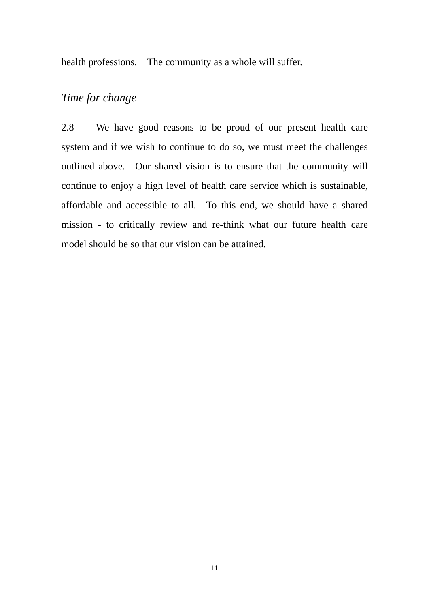health professions. The community as a whole will suffer.

## *Time for change*

 affordable and accessible to all. To this end, we should have a shared 2.8 We have good reasons to be proud of our present health care system and if we wish to continue to do so, we must meet the challenges outlined above. Our shared vision is to ensure that the community will continue to enjoy a high level of health care service which is sustainable, mission - to critically review and re-think what our future health care model should be so that our vision can be attained.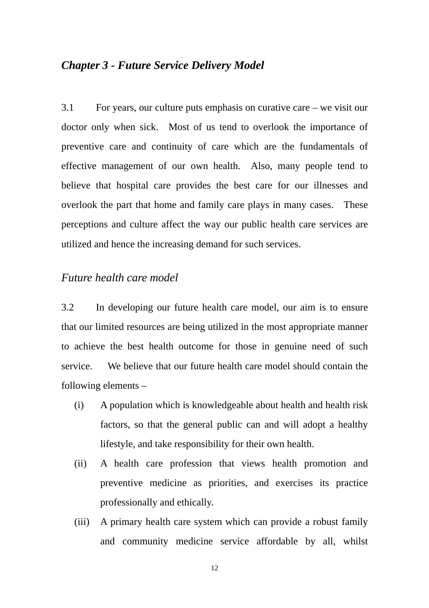## *Chapter 3 - Future Service Delivery Model*

3.1 For years, our culture puts emphasis on curative care – we visit our doctor only when sick. Most of us tend to overlook the importance of preventive care and continuity of care which are the fundamentals of effective management of our own health. Also, many people tend to believe that hospital care provides the best care for our illnesses and overlook the part that home and family care plays in many cases. These perceptions and culture affect the way our public health care services are utilized and hence the increasing demand for such services.

## *Future health care model*

3.2 In developing our future health care model, our aim is to ensure that our limited resources are being utilized in the most appropriate manner to achieve the best health outcome for those in genuine need of such service. We believe that our future health care model should contain the following elements –

- (i) A population which is knowledgeable about health and health risk factors, so that the general public can and will adopt a healthy lifestyle, and take responsibility for their own health.
- (ii) A health care profession that views health promotion and preventive medicine as priorities, and exercises its practice professionally and ethically.
- (iii) A primary health care system which can provide a robust family and community medicine service affordable by all, whilst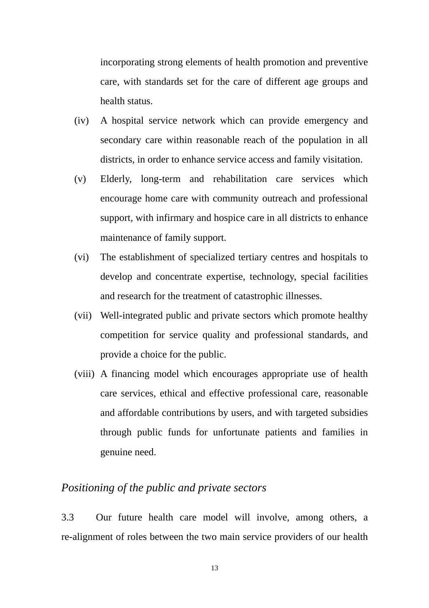incorporating strong elements of health promotion and preventive care, with standards set for the care of different age groups and health status.

- (iv) A hospital service network which can provide emergency and secondary care within reasonable reach of the population in all districts, in order to enhance service access and family visitation.
- maintenance of family support. (v) Elderly, long-term and rehabilitation care services which encourage home care with community outreach and professional support, with infirmary and hospice care in all districts to enhance
- (vi) The establishment of specialized tertiary centres and hospitals to develop and concentrate expertise, technology, special facilities and research for the treatment of catastrophic illnesses.
- (vii) Well-integrated public and private sectors which promote healthy competition for service quality and professional standards, and provide a choice for the public.
- (viii) A financing model which encourages appropriate use of health care services, ethical and effective professional care, reasonable and affordable contributions by users, and with targeted subsidies through public funds for unfortunate patients and families in genuine need.

## *Positioning of the public and private sectors*

3.3 Our future health care model will involve, among others, a re-alignment of roles between the two main service providers of our health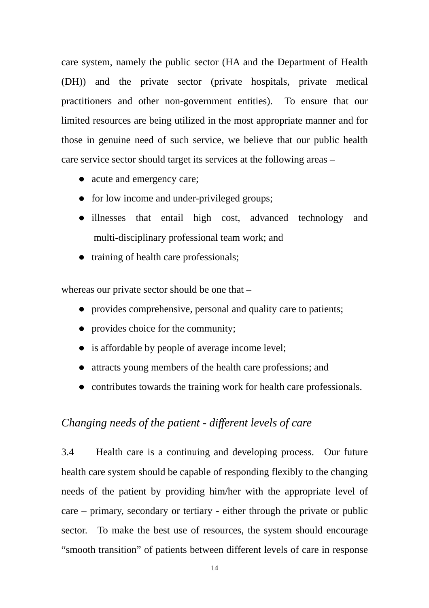care system, namely the public sector (HA and the Department of Health (DH)) and the private sector (private hospitals, private medical practitioners and other non-government entities). To ensure that our limited resources are being utilized in the most appropriate manner and for those in genuine need of such service, we believe that our public health care service sector should target its services at the following areas –

- acute and emergency care;
- for low income and under-privileged groups;
- illnesses that entail high cost, advanced technology and multi-disciplinary professional team work; and
- $\bullet$  training of health care professionals;

whereas our private sector should be one that –

- provides comprehensive, personal and quality care to patients;
- $\bullet$  provides choice for the community;
- $\bullet$  is affordable by people of average income level;
- attracts young members of the health care professions; and
- contributes towards the training work for health care professionals.

## *Changing needs of the patient - different levels of care*

3.4 Health care is a continuing and developing process. Our future health care system should be capable of responding flexibly to the changing needs of the patient by providing him/her with the appropriate level of care – primary, secondary or tertiary - either through the private or public sector. To make the best use of resources, the system should encourage "smooth transition" of patients between different levels of care in response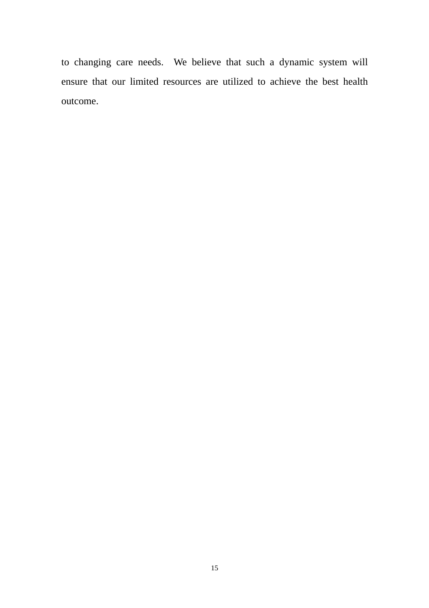to changing care needs. We believe that such a dynamic system will ensure that our limited resources are utilized to achieve the best health outcome.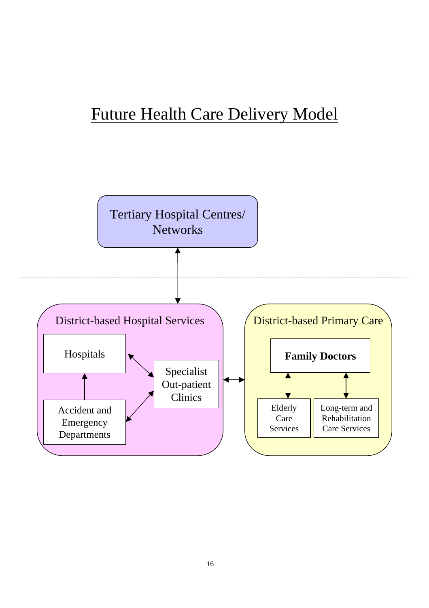# Future Health Care Delivery Model

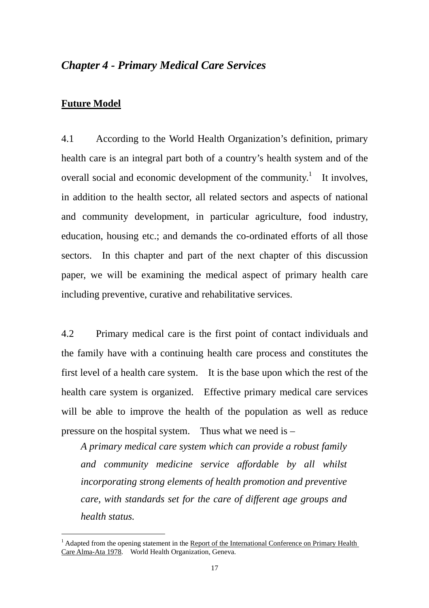## *Chapter 4 - Primary Medical Care Services*

### **Future Model**

 $\overline{a}$ 

4.1 According to the World Health Organization's definition, primary health care is an integral part both of a country's health system and of the overall social and economic development of the community.<sup>1</sup> It involves, in addition to the health sector, all related sectors and aspects of national and community development, in particular agriculture, food industry, education, housing etc.; and demands the co-ordinated efforts of all those sectors. In this chapter and part of the next chapter of this discussion paper, we will be examining the medical aspect of primary health care including preventive, curative and rehabilitative services.

4.2 Primary medical care is the first point of contact individuals and the family have with a continuing health care process and constitutes the first level of a health care system. It is the base upon which the rest of the health care system is organized. Effective primary medical care services will be able to improve the health of the population as well as reduce pressure on the hospital system. Thus what we need is  $-$ 

*A primary medical care system which can provide a robust family and community medicine service affordable by all whilst incorporating strong elements of health promotion and preventive care, with standards set for the care of different age groups and health status.* 

 $<sup>1</sup>$  Adapted from the opening statement in the Report of the International Conference on Primary Health</sup> Care Alma-Ata 1978. World Health Organization, Geneva.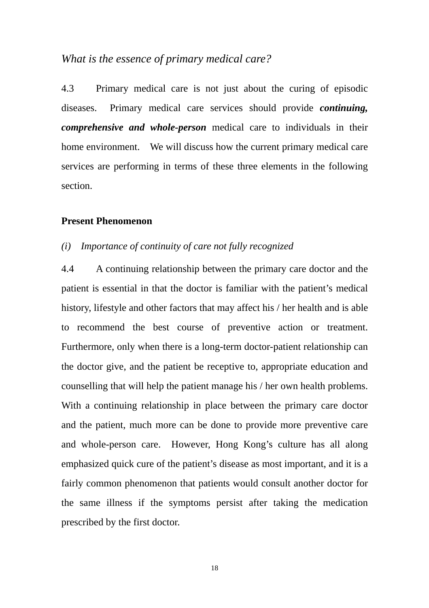## *What is the essence of primary medical care?*

4.3 Primary medical care is not just about the curing of episodic diseases. Primary medical care services should provide *continuing, comprehensive and whole-person* medical care to individuals in their home environment. We will discuss how the current primary medical care services are performing in terms of these three elements in the following section.

### **Present Phenomenon**

#### *(i) Importance of continuity of care not fully recognized*

prescribed by the first doctor.<br>
18 4.4 A continuing relationship between the primary care doctor and the patient is essential in that the doctor is familiar with the patient's medical history, lifestyle and other factors that may affect his / her health and is able to recommend the best course of preventive action or treatment. Furthermore, only when there is a long-term doctor-patient relationship can the doctor give, and the patient be receptive to, appropriate education and counselling that will help the patient manage his / her own health problems. With a continuing relationship in place between the primary care doctor and the patient, much more can be done to provide more preventive care and whole-person care. However, Hong Kong's culture has all along emphasized quick cure of the patient's disease as most important, and it is a fairly common phenomenon that patients would consult another doctor for the same illness if the symptoms persist after taking the medication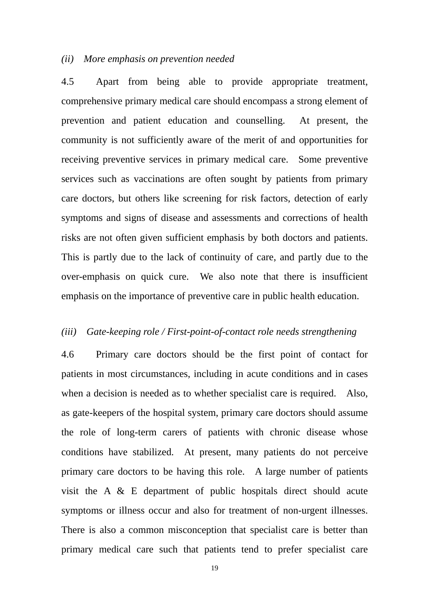#### *(ii) More emphasis on prevention needed*

4.5 Apart from being able to provide appropriate treatment, comprehensive primary medical care should encompass a strong element of prevention and patient education and counselling. At present, the community is not sufficiently aware of the merit of and opportunities for receiving preventive services in primary medical care. Some preventive services such as vaccinations are often sought by patients from primary care doctors, but others like screening for risk factors, detection of early symptoms and signs of disease and assessments and corrections of health risks are not often given sufficient emphasis by both doctors and patients. This is partly due to the lack of continuity of care, and partly due to the over-emphasis on quick cure. We also note that there is insufficient emphasis on the importance of preventive care in public health education.

#### *(iii) Gate-keeping role / First-point-of-contact role needs strengthening*

4.6 Primary care doctors should be the first point of contact for patients in most circumstances, including in acute conditions and in cases when a decision is needed as to whether specialist care is required. Also, as gate-keepers of the hospital system, primary care doctors should assume the role of long-term carers of patients with chronic disease whose conditions have stabilized. At present, many patients do not perceive primary care doctors to be having this role. A large number of patients visit the A & E department of public hospitals direct should acute symptoms or illness occur and also for treatment of non-urgent illnesses. There is also a common misconception that specialist care is better than primary medical care such that patients tend to prefer specialist care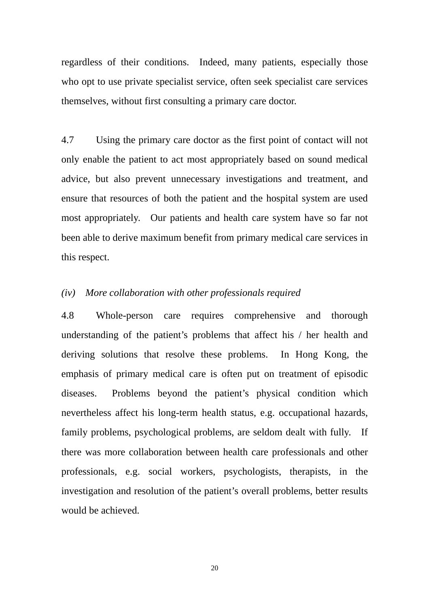themselves, without first consulting a primary care doctor. regardless of their conditions. Indeed, many patients, especially those who opt to use private specialist service, often seek specialist care services

4.7 Using the primary care doctor as the first point of contact will not only enable the patient to act most appropriately based on sound medical advice, but also prevent unnecessary investigations and treatment, and ensure that resources of both the patient and the hospital system are used most appropriately. Our patients and health care system have so far not been able to derive maximum benefit from primary medical care services in this respect.

#### *(iv) More collaboration with other professionals required*

 family problems, psychological problems, are seldom dealt with fully. If 4.8 Whole-person care requires comprehensive and thorough understanding of the patient's problems that affect his / her health and deriving solutions that resolve these problems. In Hong Kong, the emphasis of primary medical care is often put on treatment of episodic diseases. Problems beyond the patient's physical condition which nevertheless affect his long-term health status, e.g. occupational hazards, there was more collaboration between health care professionals and other professionals, e.g. social workers, psychologists, therapists, in the investigation and resolution of the patient's overall problems, better results would be achieved.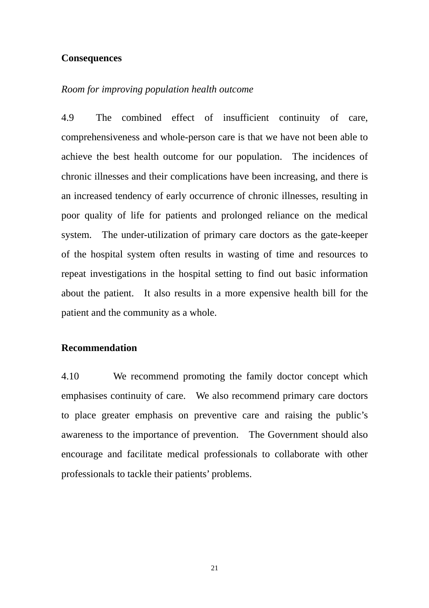#### **Consequences**

#### *Room for improving population health outcome*

4.9 The combined effect of insufficient continuity of care, comprehensiveness and whole-person care is that we have not been able to achieve the best health outcome for our population. The incidences of chronic illnesses and their complications have been increasing, and there is an increased tendency of early occurrence of chronic illnesses, resulting in poor quality of life for patients and prolonged reliance on the medical system. The under-utilization of primary care doctors as the gate-keeper of the hospital system often results in wasting of time and resources to repeat investigations in the hospital setting to find out basic information about the patient. It also results in a more expensive health bill for the patient and the community as a whole.

### **Recommendation**

4.10 We recommend promoting the family doctor concept which emphasises continuity of care. We also recommend primary care doctors to place greater emphasis on preventive care and raising the public's awareness to the importance of prevention. The Government should also encourage and facilitate medical professionals to collaborate with other professionals to tackle their patients' problems.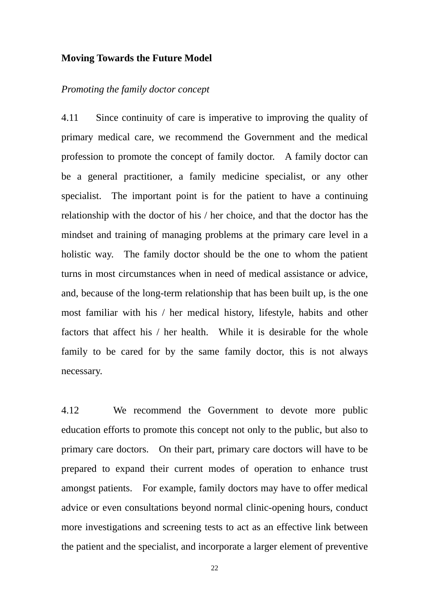#### **Moving Towards the Future Model**

#### *Promoting the family doctor concept*

 profession to promote the concept of family doctor. A family doctor can holistic way. The family doctor should be the one to whom the patient 4.11 Since continuity of care is imperative to improving the quality of primary medical care, we recommend the Government and the medical be a general practitioner, a family medicine specialist, or any other specialist. The important point is for the patient to have a continuing relationship with the doctor of his / her choice, and that the doctor has the mindset and training of managing problems at the primary care level in a turns in most circumstances when in need of medical assistance or advice, and, because of the long-term relationship that has been built up, is the one most familiar with his / her medical history, lifestyle, habits and other factors that affect his / her health. While it is desirable for the whole family to be cared for by the same family doctor, this is not always necessary.

4.12 We recommend the Government to devote more public education efforts to promote this concept not only to the public, but also to primary care doctors. On their part, primary care doctors will have to be prepared to expand their current modes of operation to enhance trust amongst patients. For example, family doctors may have to offer medical advice or even consultations beyond normal clinic-opening hours, conduct more investigations and screening tests to act as an effective link between the patient and the specialist, and incorporate a larger element of preventive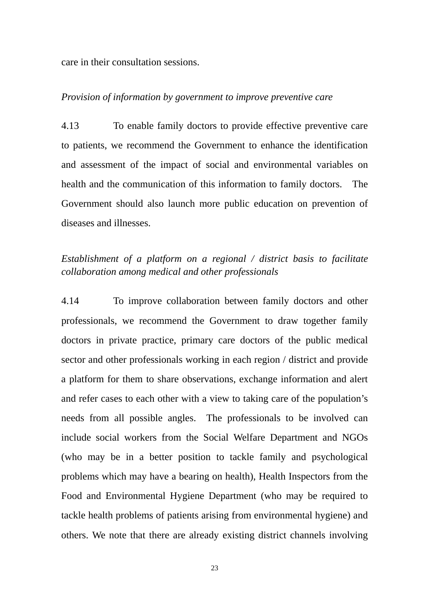care in their consultation sessions.

#### *Provision of information by government to improve preventive care*

4.13 To enable family doctors to provide effective preventive care to patients, we recommend the Government to enhance the identification and assessment of the impact of social and environmental variables on health and the communication of this information to family doctors. The Government should also launch more public education on prevention of diseases and illnesses.

## *Establishment of a platform on a regional / district basis to facilitate collaboration among medical and other professionals*

4.14 To improve collaboration between family doctors and other professionals, we recommend the Government to draw together family doctors in private practice, primary care doctors of the public medical sector and other professionals working in each region / district and provide a platform for them to share observations, exchange information and alert and refer cases to each other with a view to taking care of the population's needs from all possible angles. The professionals to be involved can include social workers from the Social Welfare Department and NGOs (who may be in a better position to tackle family and psychological problems which may have a bearing on health), Health Inspectors from the Food and Environmental Hygiene Department (who may be required to tackle health problems of patients arising from environmental hygiene) and others. We note that there are already existing district channels involving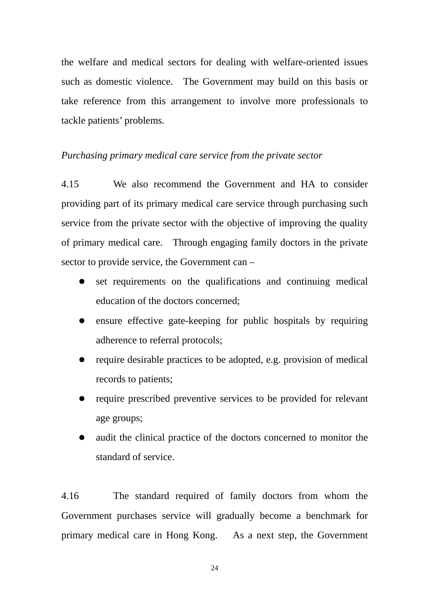the welfare and medical sectors for dealing with welfare-oriented issues such as domestic violence. The Government may build on this basis or take reference from this arrangement to involve more professionals to tackle patients' problems.

#### *Purchasing primary medical care service from the private sector*

4.15 We also recommend the Government and HA to consider providing part of its primary medical care service through purchasing such service from the private sector with the objective of improving the quality of primary medical care. Through engaging family doctors in the private sector to provide service, the Government can –

- $\bullet$  set requirements on the qualifications and continuing medical education of the doctors concerned;
- $\bullet$  ensure effective gate-keeping for public hospitals by requiring adherence to referral protocols;
- $\bullet$  require desirable practices to be adopted, e.g. provision of medical records to patients;
- require prescribed preventive services to be provided for relevant age groups;
- audit the clinical practice of the doctors concerned to monitor the standard of service.

4.16 The standard required of family doctors from whom the Government purchases service will gradually become a benchmark for primary medical care in Hong Kong. As a next step, the Government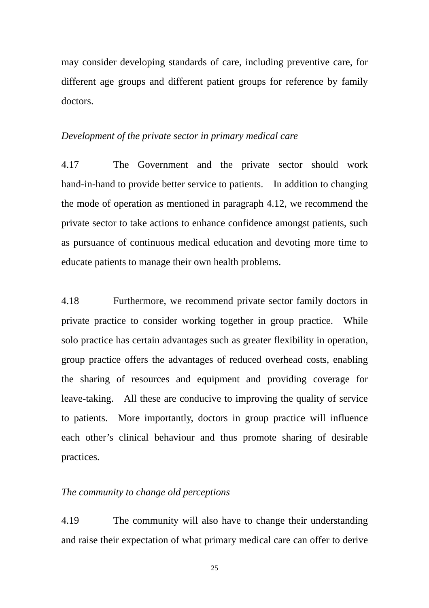may consider developing standards of care, including preventive care, for different age groups and different patient groups for reference by family doctors.

#### *Development of the private sector in primary medical care*

4.17 The Government and the private sector should work hand-in-hand to provide better service to patients. In addition to changing the mode of operation as mentioned in paragraph 4.12, we recommend the private sector to take actions to enhance confidence amongst patients, such as pursuance of continuous medical education and devoting more time to educate patients to manage their own health problems.

4.18 Furthermore, we recommend private sector family doctors in private practice to consider working together in group practice. While solo practice has certain advantages such as greater flexibility in operation, group practice offers the advantages of reduced overhead costs, enabling the sharing of resources and equipment and providing coverage for leave-taking. All these are conducive to improving the quality of service to patients. More importantly, doctors in group practice will influence each other's clinical behaviour and thus promote sharing of desirable practices.

#### *The community to change old perceptions*

4.19 The community will also have to change their understanding and raise their expectation of what primary medical care can offer to derive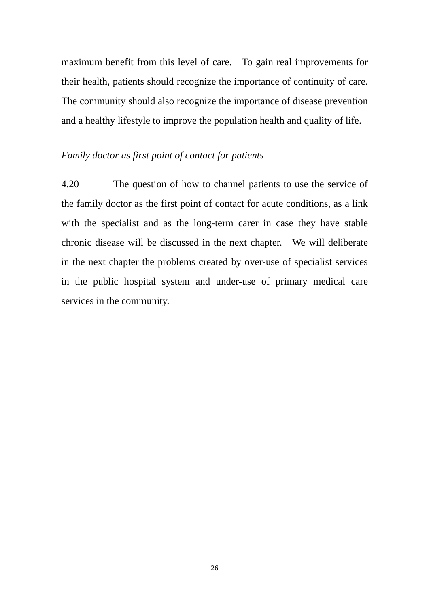maximum benefit from this level of care. To gain real improvements for their health, patients should recognize the importance of continuity of care. The community should also recognize the importance of disease prevention and a healthy lifestyle to improve the population health and quality of life.

## *Family doctor as first point of contact for patients*

 chronic disease will be discussed in the next chapter. We will deliberate 4.20 The question of how to channel patients to use the service of the family doctor as the first point of contact for acute conditions, as a link with the specialist and as the long-term carer in case they have stable in the next chapter the problems created by over-use of specialist services in the public hospital system and under-use of primary medical care services in the community.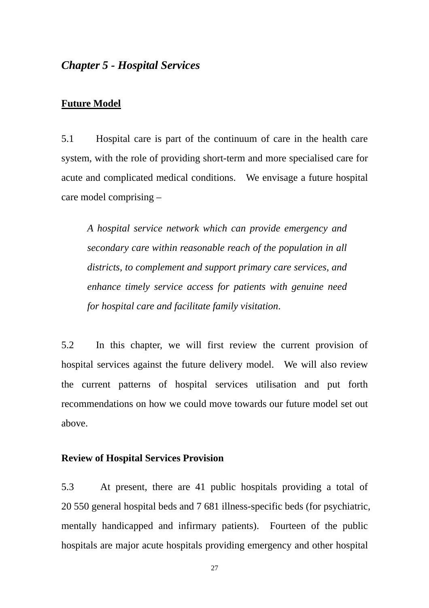## *Chapter 5 - Hospital Services*

#### **Future Model**

5.1 Hospital care is part of the continuum of care in the health care system, with the role of providing short-term and more specialised care for acute and complicated medical conditions. We envisage a future hospital care model comprising –

*A hospital service network which can provide emergency and secondary care within reasonable reach of the population in all districts, to complement and support primary care services, and enhance timely service access for patients with genuine need for hospital care and facilitate family visitation*.

5.2 In this chapter, we will first review the current provision of hospital services against the future delivery model. We will also review the current patterns of hospital services utilisation and put forth recommendations on how we could move towards our future model set out above.

#### **Review of Hospital Services Provision**

5.3 At present, there are 41 public hospitals providing a total of 20 550 general hospital beds and 7 681 illness-specific beds (for psychiatric, mentally handicapped and infirmary patients). Fourteen of the public hospitals are major acute hospitals providing emergency and other hospital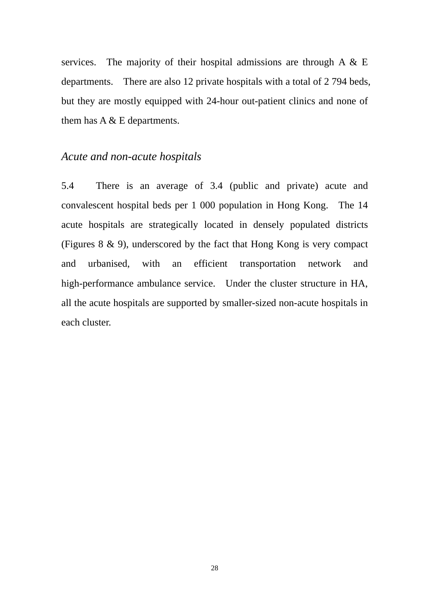services. The majority of their hospital admissions are through A & E departments. There are also 12 private hospitals with a total of 2 794 beds, but they are mostly equipped with 24-hour out-patient clinics and none of them has A & E departments.

## *Acute and non-acute hospitals*

each cluster 5.4 There is an average of 3.4 (public and private) acute and convalescent hospital beds per 1 000 population in Hong Kong. The 14 acute hospitals are strategically located in densely populated districts (Figures 8 & 9), underscored by the fact that Hong Kong is very compact and urbanised, with an efficient transportation network and high-performance ambulance service. Under the cluster structure in HA, all the acute hospitals are supported by smaller-sized non-acute hospitals in each cluster. 28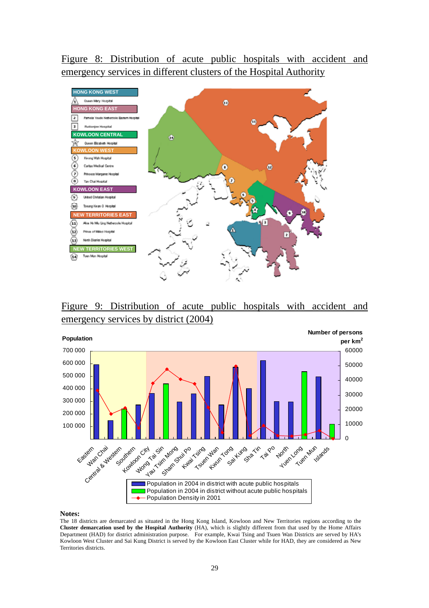Figure 8: Distribution of acute public hospitals with accident and emergency services in different clusters of the Hospital Authority



Figure 9: Distribution of acute public hospitals with accident and emergency services by district (2004)



#### **Notes:**

 Department (HAD) for district administration purpose. For example, Kwai Tsing and Tsuen Wan Districts are served by HA's The 18 districts are demarcated as situated in the Hong Kong Island, Kowloon and New Territories regions according to the **Cluster demarcation used by the Hospital Authority** (HA), which is slightly different from that used by the Home Affairs Kowloon West Cluster and Sai Kung District is served by the Kowloon East Cluster while for HAD, they are considered as New Territories districts.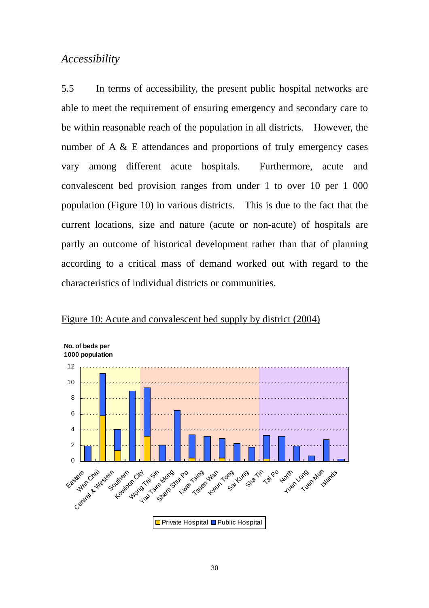## *Accessibility*

5.5 In terms of accessibility, the present public hospital networks are able to meet the requirement of ensuring emergency and secondary care to be within reasonable reach of the population in all districts. However, the number of A & E attendances and proportions of truly emergency cases vary among different acute hospitals. Furthermore, acute and convalescent bed provision ranges from under 1 to over 10 per 1 000 population (Figure 10) in various districts. This is due to the fact that the current locations, size and nature (acute or non-acute) of hospitals are partly an outcome of historical development rather than that of planning according to a critical mass of demand worked out with regard to the characteristics of individual districts or communities.



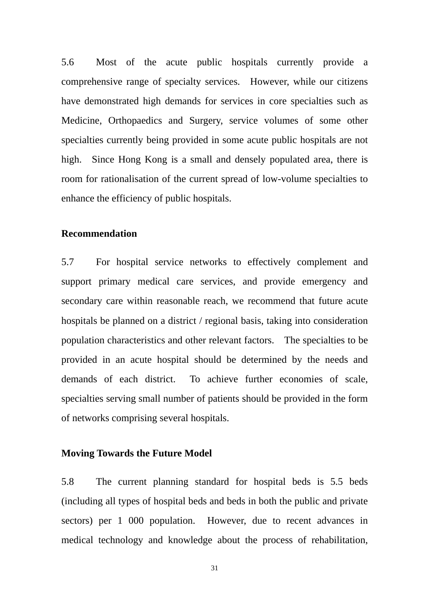enhance the efficiency of public hospitals. 5.6 Most of the acute public hospitals currently provide a comprehensive range of specialty services. However, while our citizens have demonstrated high demands for services in core specialties such as Medicine, Orthopaedics and Surgery, service volumes of some other specialties currently being provided in some acute public hospitals are not high. Since Hong Kong is a small and densely populated area, there is room for rationalisation of the current spread of low-volume specialties to

#### **Recommendation**

 population characteristics and other relevant factors. The specialties to be 5.7 For hospital service networks to effectively complement and support primary medical care services, and provide emergency and secondary care within reasonable reach, we recommend that future acute hospitals be planned on a district / regional basis, taking into consideration provided in an acute hospital should be determined by the needs and demands of each district. To achieve further economies of scale, specialties serving small number of patients should be provided in the form of networks comprising several hospitals.

#### **Moving Towards the Future Model**

5.8 The current planning standard for hospital beds is 5.5 beds (including all types of hospital beds and beds in both the public and private sectors) per 1 000 population. However, due to recent advances in medical technology and knowledge about the process of rehabilitation,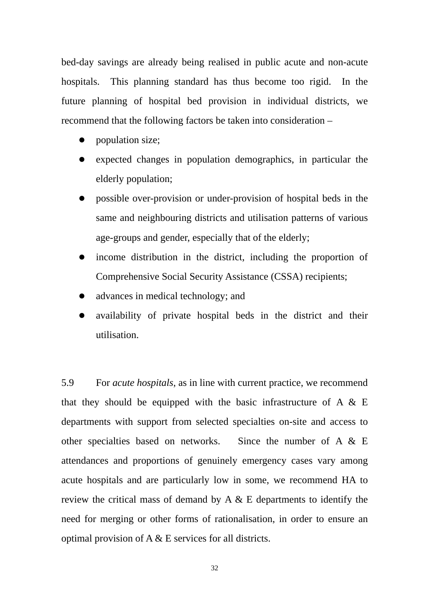bed-day savings are already being realised in public acute and non-acute hospitals. This planning standard has thus become too rigid. In the future planning of hospital bed provision in individual districts, we recommend that the following factors be taken into consideration –

- population size;
- expected changes in population demographics, in particular the elderly population;
- possible over-provision or under-provision of hospital beds in the same and neighbouring districts and utilisation patterns of various age-groups and gender, especially that of the elderly;
- income distribution in the district, including the proportion of Comprehensive Social Security Assistance (CSSA) recipients;
- advances in medical technology; and
- z availability of private hospital beds in the district and their utilisation.

5.9 optimal provision of  $A \& E$  services for all districts. 5.9 For *acute hospitals*, as in line with current practice, we recommend that they should be equipped with the basic infrastructure of A  $\&$  E departments with support from selected specialties on-site and access to other specialties based on networks. Since the number of A & E attendances and proportions of genuinely emergency cases vary among acute hospitals and are particularly low in some, we recommend HA to review the critical mass of demand by A & E departments to identify the need for merging or other forms of rationalisation, in order to ensure an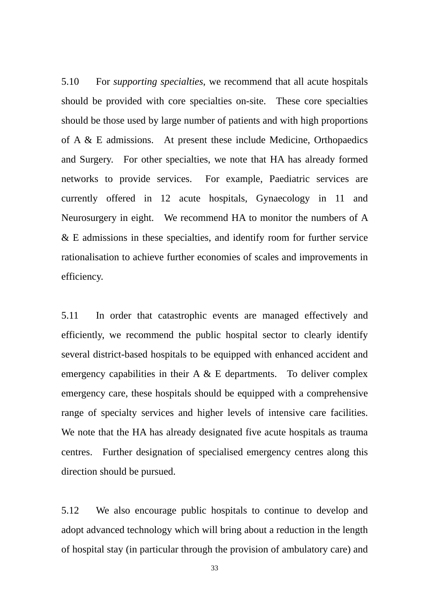and Surgery. For other specialties, we note that HA has already formed 5.10 For *supporting specialties*, we recommend that all acute hospitals should be provided with core specialties on-site. These core specialties should be those used by large number of patients and with high proportions of A & E admissions. At present these include Medicine, Orthopaedics networks to provide services. For example, Paediatric services are currently offered in 12 acute hospitals, Gynaecology in 11 and Neurosurgery in eight. We recommend HA to monitor the numbers of A & E admissions in these specialties, and identify room for further service rationalisation to achieve further economies of scales and improvements in efficiency.

emergency capabilities in their  $A \& E$  departments. To deliver complex 5.11 In order that catastrophic events are managed effectively and efficiently, we recommend the public hospital sector to clearly identify several district-based hospitals to be equipped with enhanced accident and emergency care, these hospitals should be equipped with a comprehensive range of specialty services and higher levels of intensive care facilities. We note that the HA has already designated five acute hospitals as trauma centres. Further designation of specialised emergency centres along this direction should be pursued.

5.12 We also encourage public hospitals to continue to develop and adopt advanced technology which will bring about a reduction in the length of hospital stay (in particular through the provision of ambulatory care) and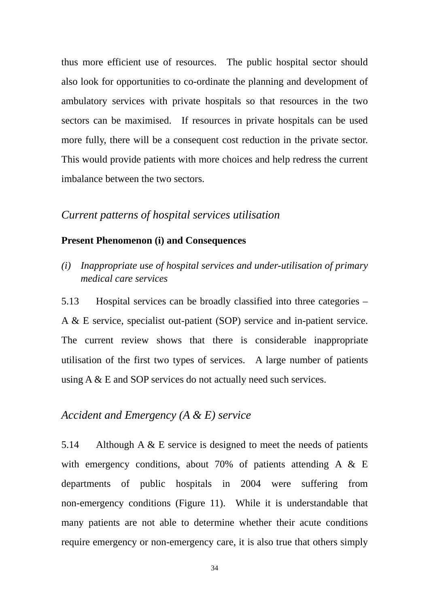thus more efficient use of resources. The public hospital sector should also look for opportunities to co-ordinate the planning and development of ambulatory services with private hospitals so that resources in the two sectors can be maximised. If resources in private hospitals can be used more fully, there will be a consequent cost reduction in the private sector. This would provide patients with more choices and help redress the current imbalance between the two sectors.

## *Current patterns of hospital services utilisation*

#### **Present Phenomenon (i) and Consequences**

*(i) Inappropriate use of hospital services and under-utilisation of primary medical care services* 

5.13 Hospital services can be broadly classified into three categories – A & E service, specialist out-patient (SOP) service and in-patient service. The current review shows that there is considerable inappropriate utilisation of the first two types of services. A large number of patients using A & E and SOP services do not actually need such services.

## *Accident and Emergency (A & E) service*

 non-emergency conditions (Figure 11). While it is understandable that 5.14 Although A  $&$  E service is designed to meet the needs of patients with emergency conditions, about 70% of patients attending A & E departments of public hospitals in 2004 were suffering from many patients are not able to determine whether their acute conditions require emergency or non-emergency care, it is also true that others simply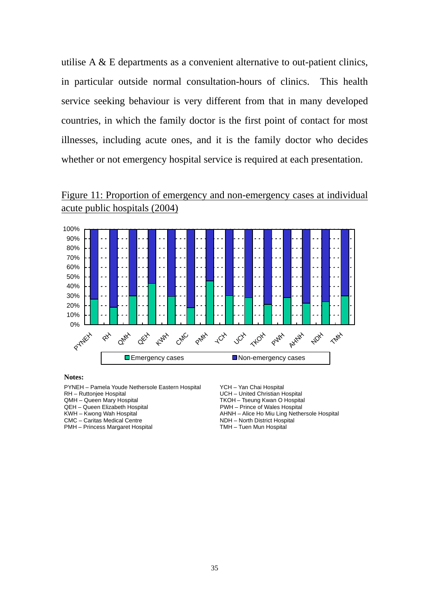utilise A & E departments as a convenient alternative to out-patient clinics, in particular outside normal consultation-hours of clinics. This health service seeking behaviour is very different from that in many developed countries, in which the family doctor is the first point of contact for most illnesses, including acute ones, and it is the family doctor who decides whether or not emergency hospital service is required at each presentation.





#### **Notes:**

PYNEH – Pamela Youde Nethersole Eastern Hospital YCH – Yan Chai Hospital<br>RH – Ruttoniee Hospital VCH – United Christian H

CMC – Caritas Medical Centre North Communisties NDH – North District Hospital

PMH – Princess Margaret Hospital TMH – Tuen Mun Hospital

RH – Ruttonjee Hospital **National Christian Hospital** CMH – UCH – United Christian Hospital<br>
QMH – Queen Mary Hospital **National CMH – The Christian Hospital** CMH – Tseung Kwan O Hospital

TKOH - Tseung Kwan O Hospital

QEH – Queen Elizabeth Hospital and Mary 1988 For Lizabeth Hospital PWH – Prince of Wales Hospital American Communisty Communisty Communisty Communisty Communisty Communisty Communisty Communisty Communisty Communisty Commu AHNH – Alice Ho Miu Ling Nethersole Hospital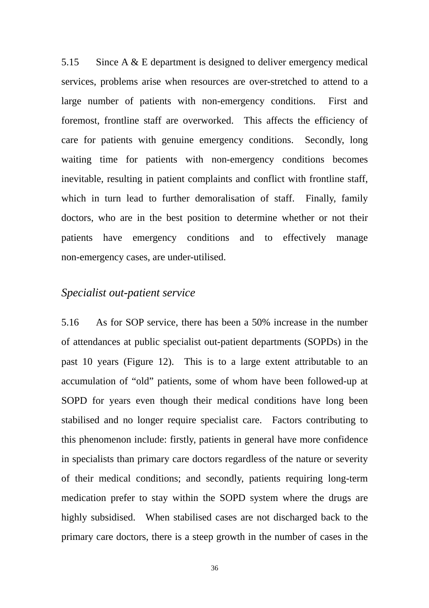5.15 Since A & E department is designed to deliver emergency medical services, problems arise when resources are over-stretched to attend to a large number of patients with non-emergency conditions. First and foremost, frontline staff are overworked. This affects the efficiency of care for patients with genuine emergency conditions. Secondly, long waiting time for patients with non-emergency conditions becomes inevitable, resulting in patient complaints and conflict with frontline staff, which in turn lead to further demoralisation of staff. Finally, family doctors, who are in the best position to determine whether or not their patients have emergency conditions and to effectively manage non-emergency cases, are under-utilised.

# *Specialist out-patient service*

5.16 As for SOP service, there has been a 50% increase in the number of attendances at public specialist out-patient departments (SOPDs) in the past 10 years (Figure 12). This is to a large extent attributable to an accumulation of "old" patients, some of whom have been followed-up at SOPD for years even though their medical conditions have long been stabilised and no longer require specialist care. Factors contributing to this phenomenon include: firstly, patients in general have more confidence in specialists than primary care doctors regardless of the nature or severity of their medical conditions; and secondly, patients requiring long-term medication prefer to stay within the SOPD system where the drugs are highly subsidised. When stabilised cases are not discharged back to the primary care doctors, there is a steep growth in the number of cases in the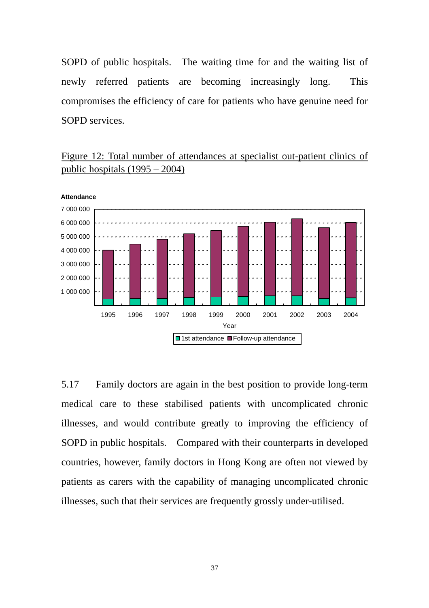SOPD of public hospitals. The waiting time for and the waiting list of newly referred patients are becoming increasingly long. This compromises the efficiency of care for patients who have genuine need for SOPD services.

Figure 12: Total number of attendances at specialist out-patient clinics of public hospitals (1995 – 2004)



5.17 Family doctors are again in the best position to provide long-term medical care to these stabilised patients with uncomplicated chronic illnesses, and would contribute greatly to improving the efficiency of SOPD in public hospitals. Compared with their counterparts in developed countries, however, family doctors in Hong Kong are often not viewed by patients as carers with the capability of managing uncomplicated chronic illnesses, such that their services are frequently grossly under-utilised.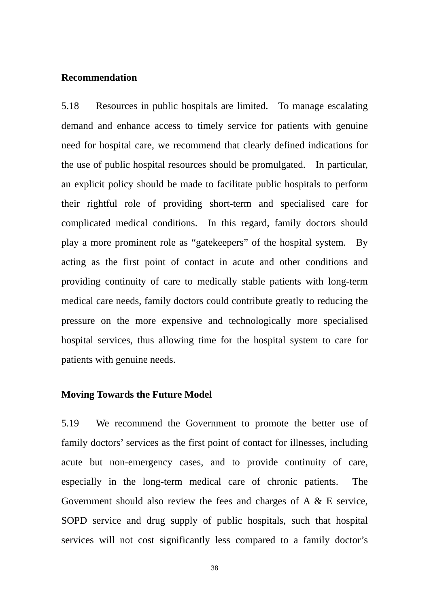#### **Recommendation**

5.18 Resources in public hospitals are limited. To manage escalating demand and enhance access to timely service for patients with genuine need for hospital care, we recommend that clearly defined indications for the use of public hospital resources should be promulgated. In particular, an explicit policy should be made to facilitate public hospitals to perform their rightful role of providing short-term and specialised care for complicated medical conditions. In this regard, family doctors should play a more prominent role as "gatekeepers" of the hospital system. By acting as the first point of contact in acute and other conditions and providing continuity of care to medically stable patients with long-term medical care needs, family doctors could contribute greatly to reducing the pressure on the more expensive and technologically more specialised hospital services, thus allowing time for the hospital system to care for patients with genuine needs.

#### **Moving Towards the Future Model**

5.19 We recommend the Government to promote the better use of family doctors' services as the first point of contact for illnesses, including acute but non-emergency cases, and to provide continuity of care, especially in the long-term medical care of chronic patients. The Government should also review the fees and charges of  $A \& E$  service, SOPD service and drug supply of public hospitals, such that hospital services will not cost significantly less compared to a family doctor's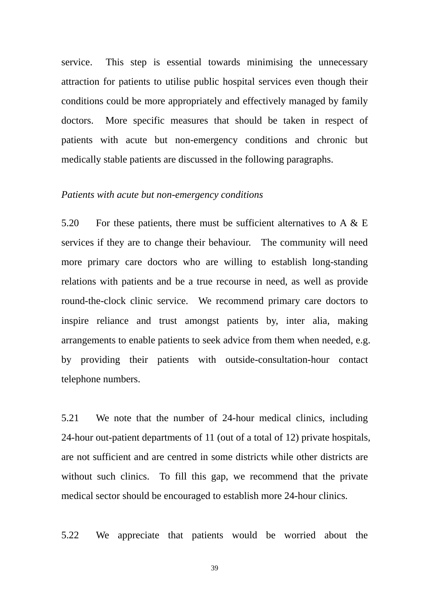service. This step is essential towards minimising the unnecessary attraction for patients to utilise public hospital services even though their conditions could be more appropriately and effectively managed by family doctors. More specific measures that should be taken in respect of patients with acute but non-emergency conditions and chronic but medically stable patients are discussed in the following paragraphs.

#### *Patients with acute but non-emergency conditions*

5.20 For these patients, there must be sufficient alternatives to A  $\&$  E services if they are to change their behaviour. The community will need more primary care doctors who are willing to establish long-standing relations with patients and be a true recourse in need, as well as provide round-the-clock clinic service. We recommend primary care doctors to inspire reliance and trust amongst patients by, inter alia, making arrangements to enable patients to seek advice from them when needed, e.g. by providing their patients with outside-consultation-hour contact telephone numbers.

5.21 We note that the number of 24-hour medical clinics, including 24-hour out-patient departments of 11 (out of a total of 12) private hospitals, are not sufficient and are centred in some districts while other districts are without such clinics. To fill this gap, we recommend that the private medical sector should be encouraged to establish more 24-hour clinics.

5.22 We appreciate that patients would be worried about the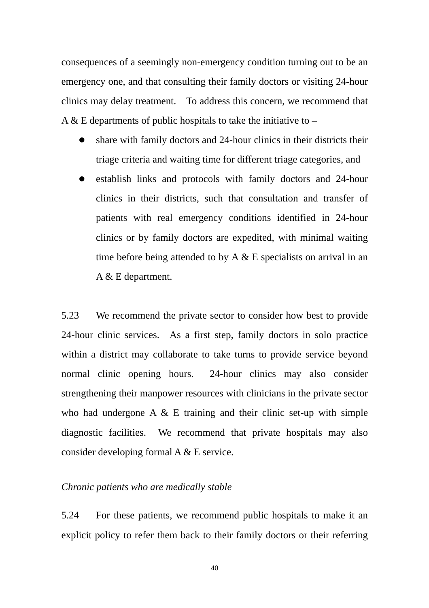consequences of a seemingly non-emergency condition turning out to be an emergency one, and that consulting their family doctors or visiting 24-hour clinics may delay treatment. To address this concern, we recommend that A & E departments of public hospitals to take the initiative to  $-$ 

- share with family doctors and 24-hour clinics in their districts their triage criteria and waiting time for different triage categories, and
- establish links and protocols with family doctors and 24-hour clinics in their districts, such that consultation and transfer of patients with real emergency conditions identified in 24-hour clinics or by family doctors are expedited, with minimal waiting time before being attended to by  $A \& E$  specialists on arrival in an A & E department.

5.23 We recommend the private sector to consider how best to provide 24-hour clinic services. As a first step, family doctors in solo practice within a district may collaborate to take turns to provide service beyond normal clinic opening hours. 24-hour clinics may also consider strengthening their manpower resources with clinicians in the private sector who had undergone  $A \& E$  training and their clinic set-up with simple diagnostic facilities. We recommend that private hospitals may also consider developing formal A & E service.

#### *Chronic patients who are medically stable*

5.24 For these patients, we recommend public hospitals to make it an explicit policy to refer them back to their family doctors or their referring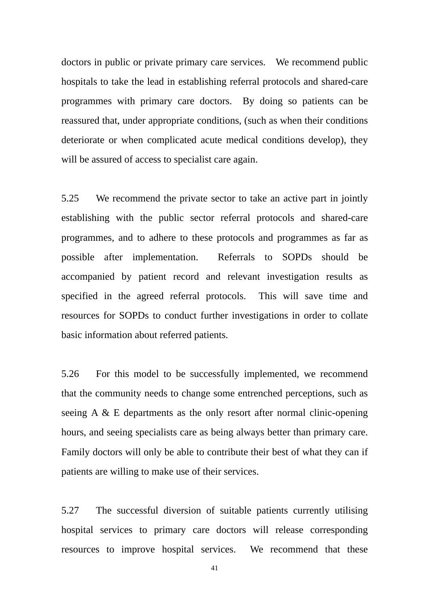doctors in public or private primary care services. We recommend public hospitals to take the lead in establishing referral protocols and shared-care programmes with primary care doctors. By doing so patients can be reassured that, under appropriate conditions, (such as when their conditions deteriorate or when complicated acute medical conditions develop), they will be assured of access to specialist care again.

5.25 We recommend the private sector to take an active part in jointly establishing with the public sector referral protocols and shared-care programmes, and to adhere to these protocols and programmes as far as possible after implementation. Referrals to SOPDs should be accompanied by patient record and relevant investigation results as specified in the agreed referral protocols. This will save time and resources for SOPDs to conduct further investigations in order to collate basic information about referred patients.

5.26 For this model to be successfully implemented, we recommend that the community needs to change some entrenched perceptions, such as seeing A & E departments as the only resort after normal clinic-opening hours, and seeing specialists care as being always better than primary care. Family doctors will only be able to contribute their best of what they can if patients are willing to make use of their services.

5.27 The successful diversion of suitable patients currently utilising hospital services to primary care doctors will release corresponding resources to improve hospital services. We recommend that these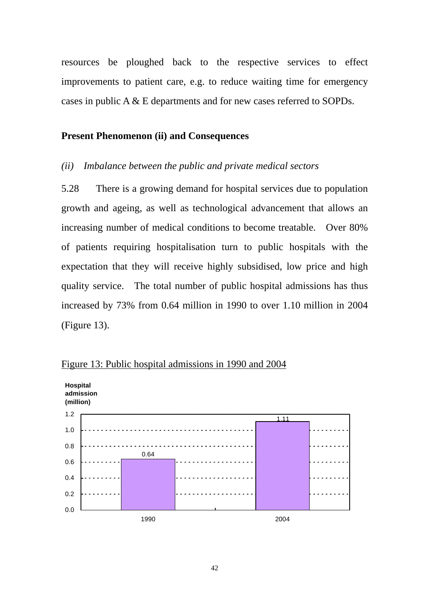resources be ploughed back to the respective services to effect improvements to patient care, e.g. to reduce waiting time for emergency cases in public A & E departments and for new cases referred to SOPDs.

### **Present Phenomenon (ii) and Consequences**

#### *(ii) Imbalance between the public and private medical sectors*

5.28 There is a growing demand for hospital services due to population growth and ageing, as well as technological advancement that allows an increasing number of medical conditions to become treatable. Over 80% of patients requiring hospitalisation turn to public hospitals with the expectation that they will receive highly subsidised, low price and high quality service. The total number of public hospital admissions has thus increased by 73% from 0.64 million in 1990 to over 1.10 million in 2004 (Figure 13).



Figure 13: Public hospital admissions in 1990 and 2004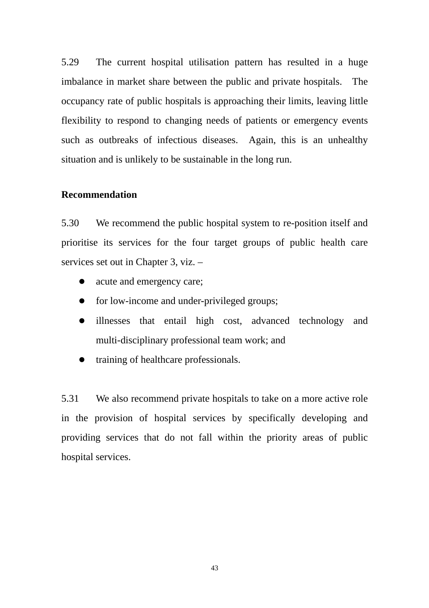5.29 The current hospital utilisation pattern has resulted in a huge imbalance in market share between the public and private hospitals. The occupancy rate of public hospitals is approaching their limits, leaving little flexibility to respond to changing needs of patients or emergency events such as outbreaks of infectious diseases. Again, this is an unhealthy situation and is unlikely to be sustainable in the long run.

#### **Recommendation**

5.30 We recommend the public hospital system to re-position itself and prioritise its services for the four target groups of public health care services set out in Chapter 3, viz. –

- acute and emergency care;
- $\bullet$  for low-income and under-privileged groups;
- illnesses that entail high cost, advanced technology and multi-disciplinary professional team work; and
- training of healthcare professionals.

5.31 We also recommend private hospitals to take on a more active role in the provision of hospital services by specifically developing and providing services that do not fall within the priority areas of public hospital services.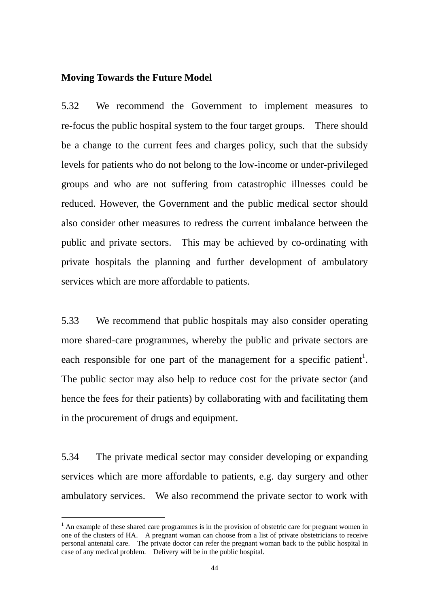#### **Moving Towards the Future Model**

5.32 We recommend the Government to implement measures to re-focus the public hospital system to the four target groups. There should be a change to the current fees and charges policy, such that the subsidy levels for patients who do not belong to the low-income or under-privileged groups and who are not suffering from catastrophic illnesses could be reduced. However, the Government and the public medical sector should also consider other measures to redress the current imbalance between the public and private sectors. This may be achieved by co-ordinating with private hospitals the planning and further development of ambulatory services which are more affordable to patients.

5.33 We recommend that public hospitals may also consider operating more shared-care programmes, whereby the public and private sectors are each responsible for one part of the management for a specific patient<sup>1</sup>. The public sector may also help to reduce cost for the private sector (and hence the fees for their patients) by collaborating with and facilitating them in the procurement of drugs and equipment.

5.34 The private medical sector may consider developing or expanding services which are more affordable to patients, e.g. day surgery and other ambulatory services. We also recommend the private sector to work with

 $\overline{a}$ 

 one of the clusters of HA. A pregnant woman can choose from a list of private obstetricians to receive personal antenatal care. The private doctor can refer the pregnant woman back to the public hospital in case of any medical problem. Delivery will be in the public hospital.  $<sup>1</sup>$  An example of these shared care programmes is in the provision of obstetric care for pregnant women in</sup>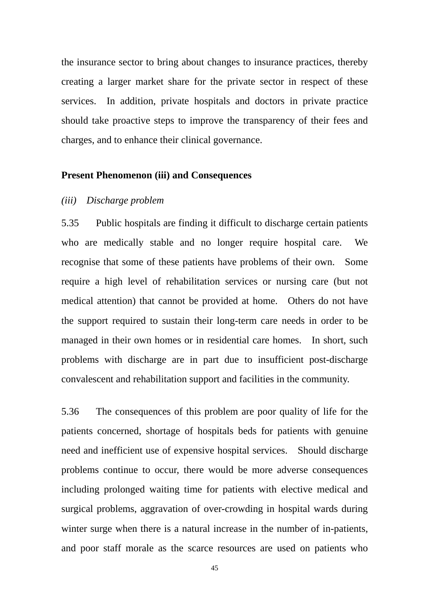the insurance sector to bring about changes to insurance practices, thereby creating a larger market share for the private sector in respect of these services. In addition, private hospitals and doctors in private practice should take proactive steps to improve the transparency of their fees and charges, and to enhance their clinical governance.

#### **Present Phenomenon (iii) and Consequences**

#### *(iii) Discharge problem*

5.35 Public hospitals are finding it difficult to discharge certain patients who are medically stable and no longer require hospital care. We recognise that some of these patients have problems of their own. Some require a high level of rehabilitation services or nursing care (but not medical attention) that cannot be provided at home. Others do not have the support required to sustain their long-term care needs in order to be managed in their own homes or in residential care homes. In short, such problems with discharge are in part due to insufficient post-discharge convalescent and rehabilitation support and facilities in the community.

5.36 The consequences of this problem are poor quality of life for the patients concerned, shortage of hospitals beds for patients with genuine need and inefficient use of expensive hospital services. Should discharge problems continue to occur, there would be more adverse consequences including prolonged waiting time for patients with elective medical and surgical problems, aggravation of over-crowding in hospital wards during winter surge when there is a natural increase in the number of in-patients, and poor staff morale as the scarce resources are used on patients who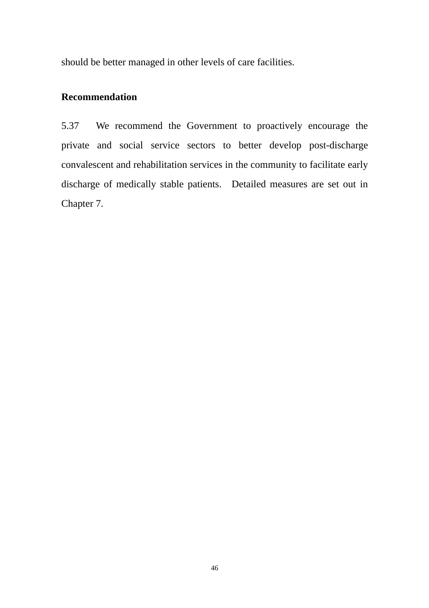should be better managed in other levels of care facilities.

## **Recommendation**

 discharge of medically stable patients. Detailed measures are set out in 5.37 We recommend the Government to proactively encourage the private and social service sectors to better develop post-discharge convalescent and rehabilitation services in the community to facilitate early Chapter 7.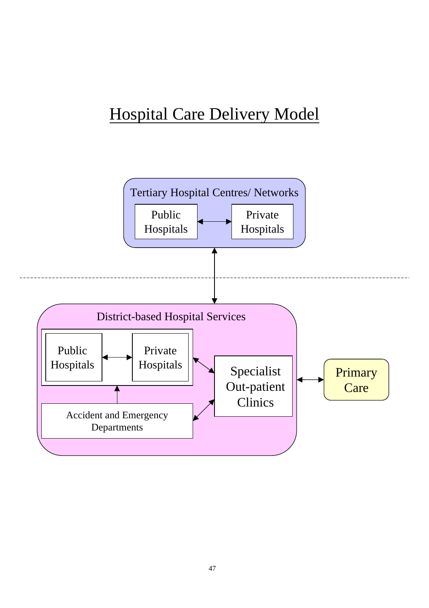# Hospital Care Delivery Model

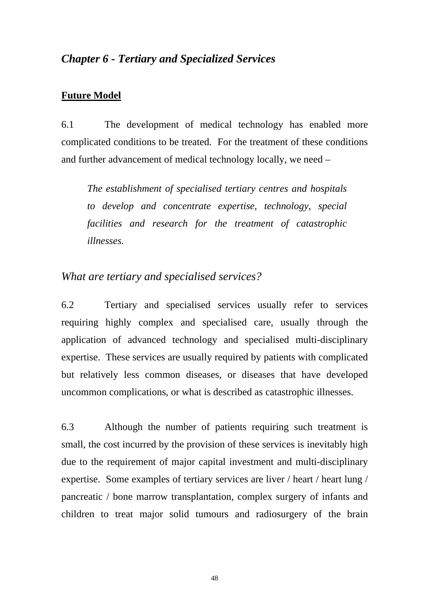# *Chapter 6 - Tertiary and Specialized Services*

## **Future Model**

6.1 The development of medical technology has enabled more complicated conditions to be treated. For the treatment of these conditions and further advancement of medical technology locally, we need –

*The establishment of specialised tertiary centres and hospitals to develop and concentrate expertise, technology, special facilities and research for the treatment of catastrophic illnesses.* 

# *What are tertiary and specialised services?*

6.2 Tertiary and specialised services usually refer to services requiring highly complex and specialised care, usually through the application of advanced technology and specialised multi-disciplinary expertise. These services are usually required by patients with complicated but relatively less common diseases, or diseases that have developed uncommon complications, or what is described as catastrophic illnesses.

6.3 Although the number of patients requiring such treatment is small, the cost incurred by the provision of these services is inevitably high due to the requirement of major capital investment and multi-disciplinary expertise. Some examples of tertiary services are liver / heart / heart lung / pancreatic / bone marrow transplantation, complex surgery of infants and children to treat major solid tumours and radiosurgery of the brain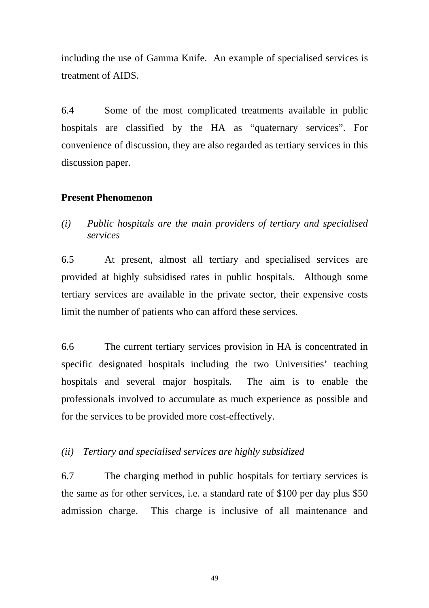including the use of Gamma Knife. An example of specialised services is treatment of AIDS.

6.4 Some of the most complicated treatments available in public hospitals are classified by the HA as "quaternary services". For convenience of discussion, they are also regarded as tertiary services in this discussion paper.

## **Present Phenomenon**

*(i) Public hospitals are the main providers of tertiary and specialised services* 

6.5 At present, almost all tertiary and specialised services are provided at highly subsidised rates in public hospitals. Although some tertiary services are available in the private sector, their expensive costs limit the number of patients who can afford these services.

6.6 The current tertiary services provision in HA is concentrated in specific designated hospitals including the two Universities' teaching hospitals and several major hospitals. The aim is to enable the professionals involved to accumulate as much experience as possible and for the services to be provided more cost-effectively.

*(ii) Tertiary and specialised services are highly subsidized* 

6.7 The charging method in public hospitals for tertiary services is the same as for other services, i.e. a standard rate of \$100 per day plus \$50 admission charge. This charge is inclusive of all maintenance and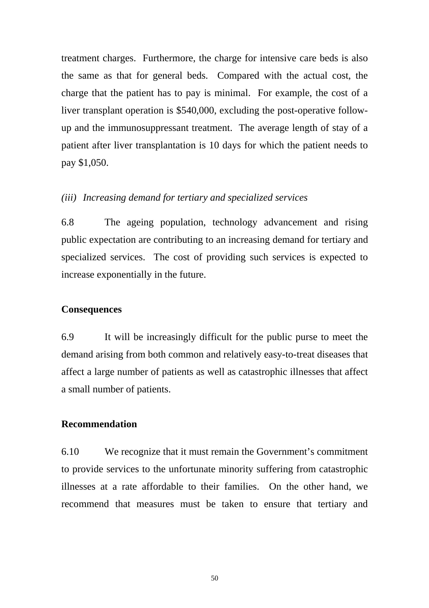treatment charges. Furthermore, the charge for intensive care beds is also the same as that for general beds. Compared with the actual cost, the charge that the patient has to pay is minimal. For example, the cost of a liver transplant operation is \$540,000, excluding the post-operative followup and the immunosuppressant treatment. The average length of stay of a patient after liver transplantation is 10 days for which the patient needs to pay \$1,050.

#### *(iii) Increasing demand for tertiary and specialized services*

6.8 The ageing population, technology advancement and rising public expectation are contributing to an increasing demand for tertiary and specialized services. The cost of providing such services is expected to increase exponentially in the future.

#### **Consequences**

6.9 It will be increasingly difficult for the public purse to meet the demand arising from both common and relatively easy-to-treat diseases that affect a large number of patients as well as catastrophic illnesses that affect a small number of patients.

#### **Recommendation**

6.10 We recognize that it must remain the Government's commitment to provide services to the unfortunate minority suffering from catastrophic illnesses at a rate affordable to their families. On the other hand, we recommend that measures must be taken to ensure that tertiary and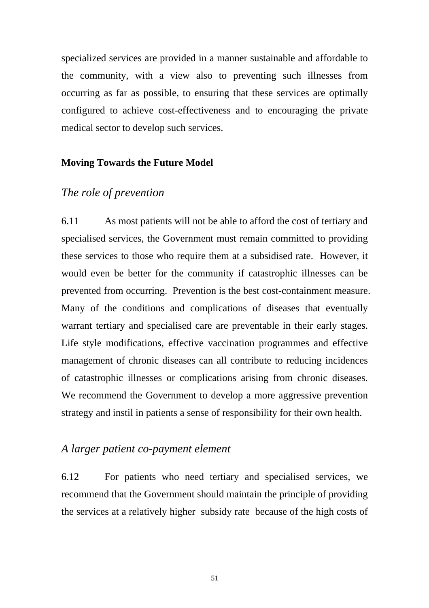specialized services are provided in a manner sustainable and affordable to the community, with a view also to preventing such illnesses from occurring as far as possible, to ensuring that these services are optimally configured to achieve cost-effectiveness and to encouraging the private medical sector to develop such services.

### **Moving Towards the Future Model**

## *The role of prevention*

6.11 As most patients will not be able to afford the cost of tertiary and specialised services, the Government must remain committed to providing these services to those who require them at a subsidised rate. However, it would even be better for the community if catastrophic illnesses can be prevented from occurring. Prevention is the best cost-containment measure. Many of the conditions and complications of diseases that eventually warrant tertiary and specialised care are preventable in their early stages. Life style modifications, effective vaccination programmes and effective management of chronic diseases can all contribute to reducing incidences of catastrophic illnesses or complications arising from chronic diseases. We recommend the Government to develop a more aggressive prevention strategy and instil in patients a sense of responsibility for their own health.

#### *A larger patient co-payment element*

6.12 For patients who need tertiary and specialised services, we recommend that the Government should maintain the principle of providing the services at a relatively higher subsidy rate because of the high costs of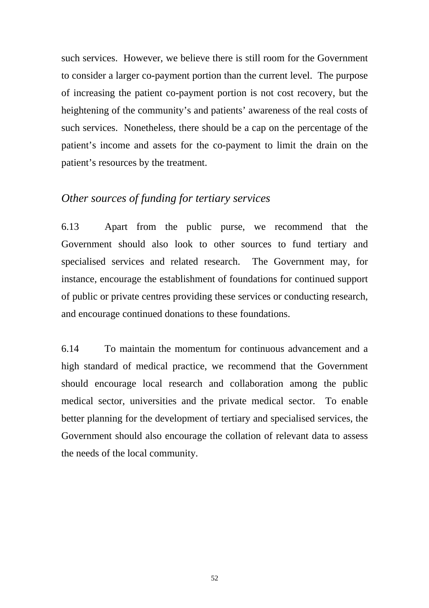such services. However, we believe there is still room for the Government to consider a larger co-payment portion than the current level. The purpose of increasing the patient co-payment portion is not cost recovery, but the heightening of the community's and patients' awareness of the real costs of such services. Nonetheless, there should be a cap on the percentage of the patient's income and assets for the co-payment to limit the drain on the patient's resources by the treatment.

# *Other sources of funding for tertiary services*

6.13 Apart from the public purse, we recommend that the Government should also look to other sources to fund tertiary and specialised services and related research. The Government may, for instance, encourage the establishment of foundations for continued support of public or private centres providing these services or conducting research, and encourage continued donations to these foundations.

6.14 To maintain the momentum for continuous advancement and a high standard of medical practice, we recommend that the Government should encourage local research and collaboration among the public medical sector, universities and the private medical sector. To enable better planning for the development of tertiary and specialised services, the Government should also encourage the collation of relevant data to assess the needs of the local community.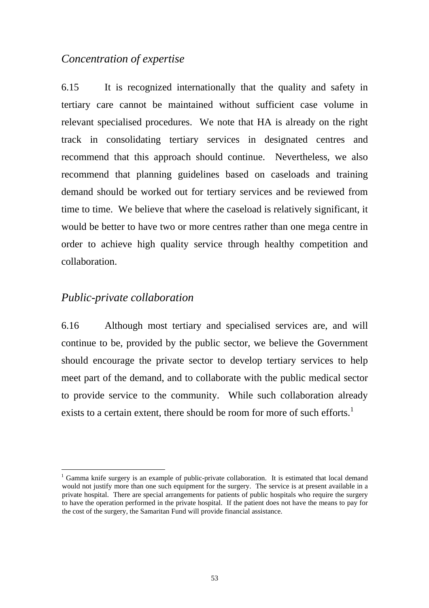# *Concentration of expertise*

6.15 It is recognized internationally that the quality and safety in tertiary care cannot be maintained without sufficient case volume in relevant specialised procedures. We note that HA is already on the right track in consolidating tertiary services in designated centres and recommend that this approach should continue. Nevertheless, we also recommend that planning guidelines based on caseloads and training demand should be worked out for tertiary services and be reviewed from time to time. We believe that where the caseload is relatively significant, it would be better to have two or more centres rather than one mega centre in order to achieve high quality service through healthy competition and collaboration.

# *Public-private collaboration*

exists to a certain extent, there should be room for more of such efforts.<sup>1</sup> 6.16 Although most tertiary and specialised services are, and will continue to be, provided by the public sector, we believe the Government should encourage the private sector to develop tertiary services to help meet part of the demand, and to collaborate with the public medical sector to provide service to the community. While such collaboration already

 to have the operation performed in the private hospital. If the patient does not have the means to pay for <sup>1</sup> Gamma knife surgery is an example of public-private collaboration. It is estimated that local demand would not justify more than one such equipment for the surgery. The service is at present available in a private hospital. There are special arrangements for patients of public hospitals who require the surgery the cost of the surgery, the Samaritan Fund will provide financial assistance.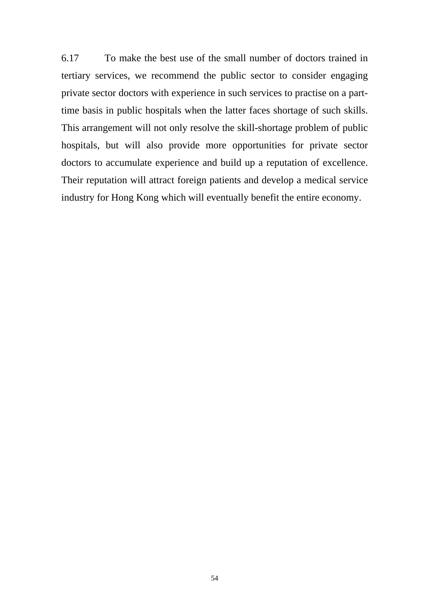6.17 To make the best use of the small number of doctors trained in tertiary services, we recommend the public sector to consider engaging private sector doctors with experience in such services to practise on a parttime basis in public hospitals when the latter faces shortage of such skills. This arrangement will not only resolve the skill-shortage problem of public hospitals, but will also provide more opportunities for private sector doctors to accumulate experience and build up a reputation of excellence. Their reputation will attract foreign patients and develop a medical service industry for Hong Kong which will eventually benefit the entire economy.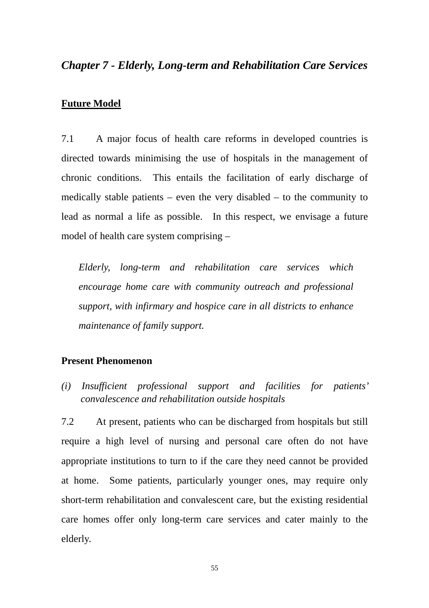# *Chapter 7 - Elderly, Long-term and Rehabilitation Care Services*

#### **Future Model**

7.1 A major focus of health care reforms in developed countries is directed towards minimising the use of hospitals in the management of chronic conditions. This entails the facilitation of early discharge of medically stable patients – even the very disabled – to the community to lead as normal a life as possible. In this respect, we envisage a future model of health care system comprising –

 *maintenance of family support. Elderly, long-term and rehabilitation care services which encourage home care with community outreach and professional support, with infirmary and hospice care in all districts to enhance* 

#### **Present Phenomenon**

*(i) Insufficient professional support and facilities for patients' convalescence and rehabilitation outside hospitals* 

elderly. 7.2 At present, patients who can be discharged from hospitals but still require a high level of nursing and personal care often do not have appropriate institutions to turn to if the care they need cannot be provided at home. Some patients, particularly younger ones, may require only short-term rehabilitation and convalescent care, but the existing residential care homes offer only long-term care services and cater mainly to the elderly.<br>55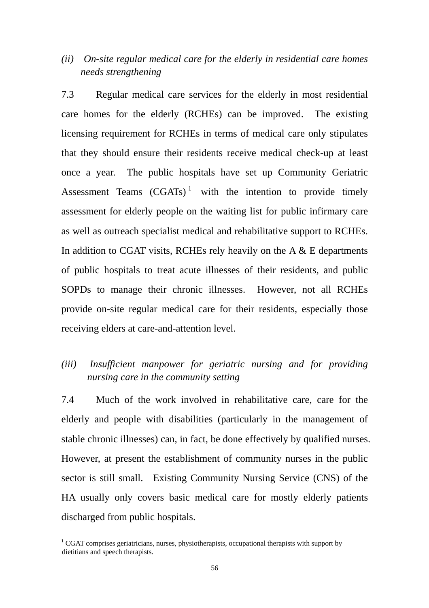# *(ii) On-site regular medical care for the elderly in residential care homes needs strengthening*

7.3 Regular medical care services for the elderly in most residential care homes for the elderly (RCHEs) can be improved. The existing licensing requirement for RCHEs in terms of medical care only stipulates that they should ensure their residents receive medical check-up at least once a year. The public hospitals have set up Community Geriatric Assessment Teams  $(CGATs)^1$  with the intention to provide timely assessment for elderly people on the waiting list for public infirmary care as well as outreach specialist medical and rehabilitative support to RCHEs. In addition to CGAT visits, RCHEs rely heavily on the  $A \& E$  departments of public hospitals to treat acute illnesses of their residents, and public SOPDs to manage their chronic illnesses. However, not all RCHEs provide on-site regular medical care for their residents, especially those receiving elders at care-and-attention level.

# *(iii) Insufficient manpower for geriatric nursing and for providing nursing care in the community setting*

7.4 Much of the work involved in rehabilitative care, care for the elderly and people with disabilities (particularly in the management of stable chronic illnesses) can, in fact, be done effectively by qualified nurses. However, at present the establishment of community nurses in the public sector is still small. Existing Community Nursing Service (CNS) of the HA usually only covers basic medical care for mostly elderly patients discharged from public hospitals.

 $\overline{a}$ 

 $1 \text{ CGAT comprises geriatricians, nurses, physicist.}$  comprises geriatricians, nurses, physiotherapists, occupational therapists with support by dietitians and speech therapists.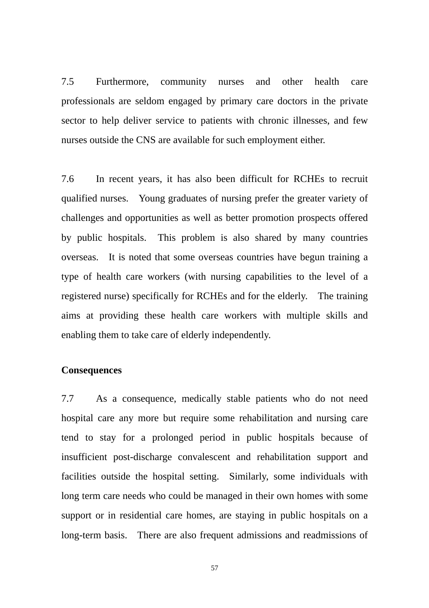7.5 Furthermore, community nurses and other health care professionals are seldom engaged by primary care doctors in the private sector to help deliver service to patients with chronic illnesses, and few nurses outside the CNS are available for such employment either.

 registered nurse) specifically for RCHEs and for the elderly. The training 7.6 In recent years, it has also been difficult for RCHEs to recruit qualified nurses. Young graduates of nursing prefer the greater variety of challenges and opportunities as well as better promotion prospects offered by public hospitals. This problem is also shared by many countries overseas. It is noted that some overseas countries have begun training a type of health care workers (with nursing capabilities to the level of a aims at providing these health care workers with multiple skills and enabling them to take care of elderly independently.

#### **Consequences**

7.7 As a consequence, medically stable patients who do not need hospital care any more but require some rehabilitation and nursing care tend to stay for a prolonged period in public hospitals because of insufficient post-discharge convalescent and rehabilitation support and facilities outside the hospital setting. Similarly, some individuals with long term care needs who could be managed in their own homes with some support or in residential care homes, are staying in public hospitals on a long-term basis. There are also frequent admissions and readmissions of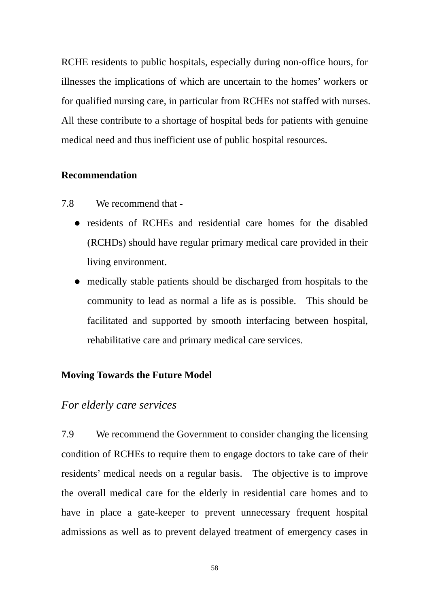RCHE residents to public hospitals, especially during non-office hours, for illnesses the implications of which are uncertain to the homes' workers or for qualified nursing care, in particular from RCHEs not staffed with nurses. All these contribute to a shortage of hospital beds for patients with genuine medical need and thus inefficient use of public hospital resources.

#### **Recommendation**

- 7.8 We recommend that
	- residents of RCHEs and residential care homes for the disabled (RCHDs) should have regular primary medical care provided in their living environment.
	- medically stable patients should be discharged from hospitals to the community to lead as normal a life as is possible. This should be facilitated and supported by smooth interfacing between hospital, rehabilitative care and primary medical care services.

## **Moving Towards the Future Model**

## *For elderly care services*

7.9 We recommend the Government to consider changing the licensing condition of RCHEs to require them to engage doctors to take care of their residents' medical needs on a regular basis. The objective is to improve the overall medical care for the elderly in residential care homes and to have in place a gate-keeper to prevent unnecessary frequent hospital admissions as well as to prevent delayed treatment of emergency cases in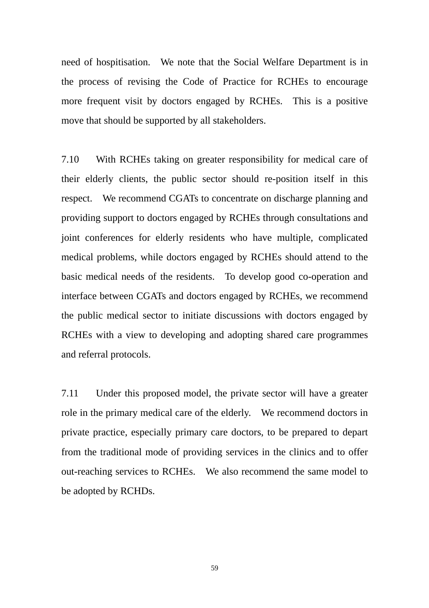need of hospitisation. We note that the Social Welfare Department is in the process of revising the Code of Practice for RCHEs to encourage more frequent visit by doctors engaged by RCHEs. This is a positive move that should be supported by all stakeholders.

 basic medical needs of the residents. To develop good co-operation and 7.10 With RCHEs taking on greater responsibility for medical care of their elderly clients, the public sector should re-position itself in this respect. We recommend CGATs to concentrate on discharge planning and providing support to doctors engaged by RCHEs through consultations and joint conferences for elderly residents who have multiple, complicated medical problems, while doctors engaged by RCHEs should attend to the interface between CGATs and doctors engaged by RCHEs, we recommend the public medical sector to initiate discussions with doctors engaged by RCHEs with a view to developing and adopting shared care programmes and referral protocols.

 role in the primary medical care of the elderly. We recommend doctors in out-reaching services to RCHEs. We also recommend the same model to 7.11 Under this proposed model, the private sector will have a greater private practice, especially primary care doctors, to be prepared to depart from the traditional mode of providing services in the clinics and to offer be adopted by RCHDs.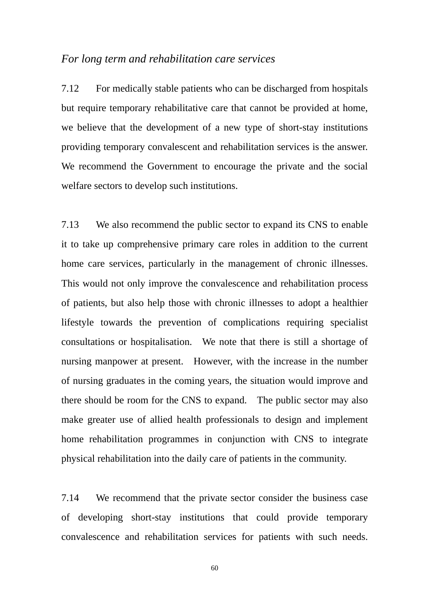#### *For long term and rehabilitation care services*

 providing temporary convalescent and rehabilitation services is the answer. 7.12 For medically stable patients who can be discharged from hospitals but require temporary rehabilitative care that cannot be provided at home, we believe that the development of a new type of short-stay institutions We recommend the Government to encourage the private and the social welfare sectors to develop such institutions.

7.13 We also recommend the public sector to expand its CNS to enable it to take up comprehensive primary care roles in addition to the current home care services, particularly in the management of chronic illnesses. This would not only improve the convalescence and rehabilitation process of patients, but also help those with chronic illnesses to adopt a healthier lifestyle towards the prevention of complications requiring specialist consultations or hospitalisation. We note that there is still a shortage of nursing manpower at present. However, with the increase in the number of nursing graduates in the coming years, the situation would improve and there should be room for the CNS to expand. The public sector may also make greater use of allied health professionals to design and implement home rehabilitation programmes in conjunction with CNS to integrate physical rehabilitation into the daily care of patients in the community.

7.14 We recommend that the private sector consider the business case of developing short-stay institutions that could provide temporary convalescence and rehabilitation services for patients with such needs.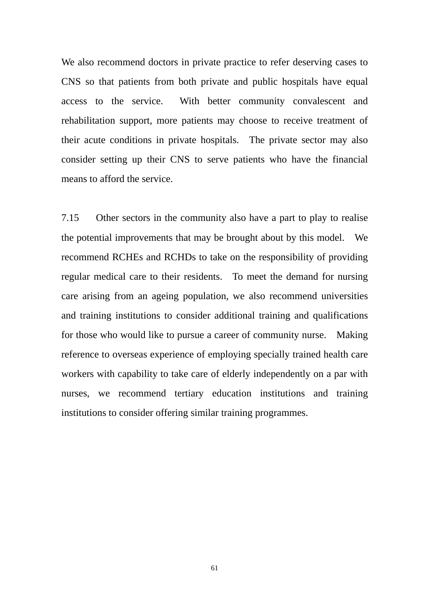We also recommend doctors in private practice to refer deserving cases to CNS so that patients from both private and public hospitals have equal access to the service. With better community convalescent and rehabilitation support, more patients may choose to receive treatment of their acute conditions in private hospitals. The private sector may also consider setting up their CNS to serve patients who have the financial means to afford the service.

 the potential improvements that may be brought about by this model. We 7.15 Other sectors in the community also have a part to play to realise recommend RCHEs and RCHDs to take on the responsibility of providing regular medical care to their residents. To meet the demand for nursing care arising from an ageing population, we also recommend universities and training institutions to consider additional training and qualifications for those who would like to pursue a career of community nurse. Making reference to overseas experience of employing specially trained health care workers with capability to take care of elderly independently on a par with nurses, we recommend tertiary education institutions and training institutions to consider offering similar training programmes.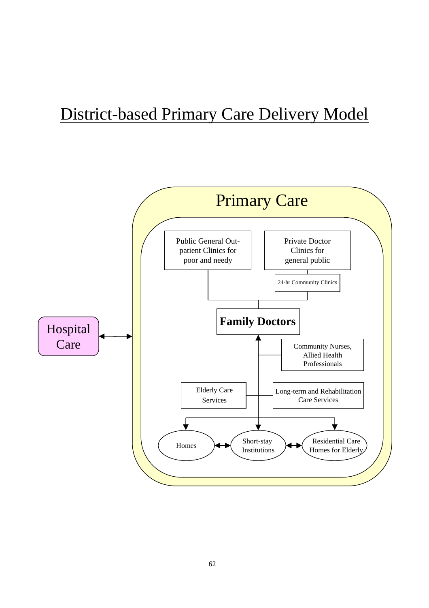# District-based Primary Care Delivery Model

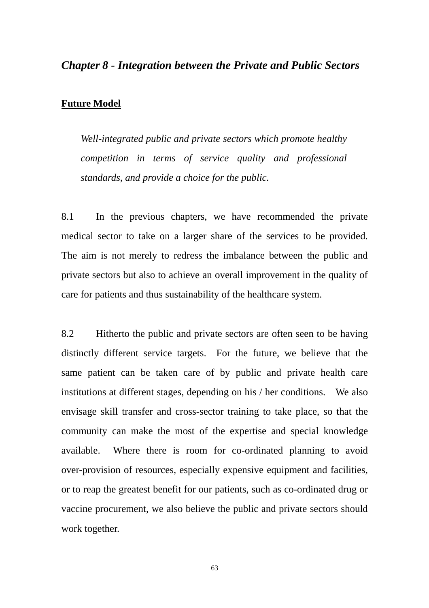## *Chapter 8 - Integration between the Private and Public Sectors*

#### **Future Model**

*Well-integrated public and private sectors which promote healthy competition in terms of service quality and professional standards, and provide a choice for the public.* 

8.1 In the previous chapters, we have recommended the private medical sector to take on a larger share of the services to be provided. The aim is not merely to redress the imbalance between the public and private sectors but also to achieve an overall improvement in the quality of care for patients and thus sustainability of the healthcare system.

8.2 Hitherto the public and private sectors are often seen to be having distinctly different service targets. For the future, we believe that the same patient can be taken care of by public and private health care institutions at different stages, depending on his / her conditions. We also envisage skill transfer and cross-sector training to take place, so that the community can make the most of the expertise and special knowledge available. Where there is room for co-ordinated planning to avoid over-provision of resources, especially expensive equipment and facilities, or to reap the greatest benefit for our patients, such as co-ordinated drug or vaccine procurement, we also believe the public and private sectors should work together.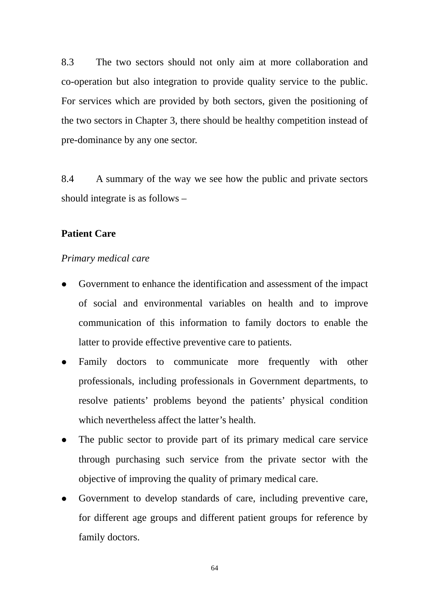8.3 The two sectors should not only aim at more collaboration and co-operation but also integration to provide quality service to the public. For services which are provided by both sectors, given the positioning of the two sectors in Chapter 3, there should be healthy competition instead of pre-dominance by any one sector.

8.4 A summary of the way we see how the public and private sectors should integrate is as follows –

### **Patient Care**

#### *Primary medical care*

- Government to enhance the identification and assessment of the impact of social and environmental variables on health and to improve communication of this information to family doctors to enable the latter to provide effective preventive care to patients.
- Family doctors to communicate more frequently with other professionals, including professionals in Government departments, to resolve patients' problems beyond the patients' physical condition which nevertheless affect the latter's health.
- The public sector to provide part of its primary medical care service through purchasing such service from the private sector with the objective of improving the quality of primary medical care.
- Government to develop standards of care, including preventive care, for different age groups and different patient groups for reference by family doctors.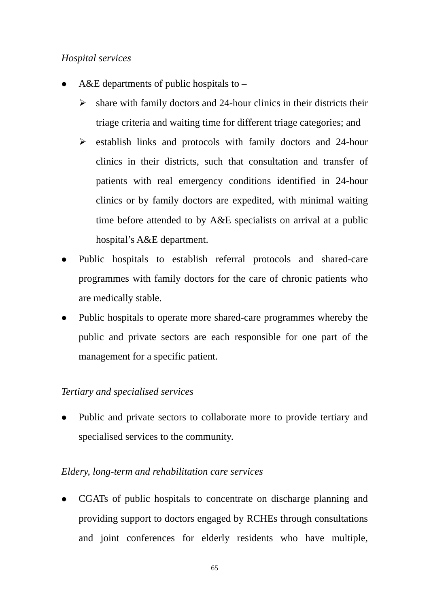# *Hospital services*

- A&E departments of public hospitals to  $-$ 
	- $\triangleright$  share with family doctors and 24-hour clinics in their districts their triage criteria and waiting time for different triage categories; and
	- $\triangleright$  establish links and protocols with family doctors and 24-hour clinics in their districts, such that consultation and transfer of patients with real emergency conditions identified in 24-hour clinics or by family doctors are expedited, with minimal waiting time before attended to by A&E specialists on arrival at a public hospital's A&E department.
- Public hospitals to establish referral protocols and shared-care programmes with family doctors for the care of chronic patients who are medically stable.
- Public hospitals to operate more shared-care programmes whereby the public and private sectors are each responsible for one part of the management for a specific patient.

# *Tertiary and specialised services*

Public and private sectors to collaborate more to provide tertiary and specialised services to the community.

# *Eldery, long-term and rehabilitation care services*

• CGATs of public hospitals to concentrate on discharge planning and providing support to doctors engaged by RCHEs through consultations and joint conferences for elderly residents who have multiple,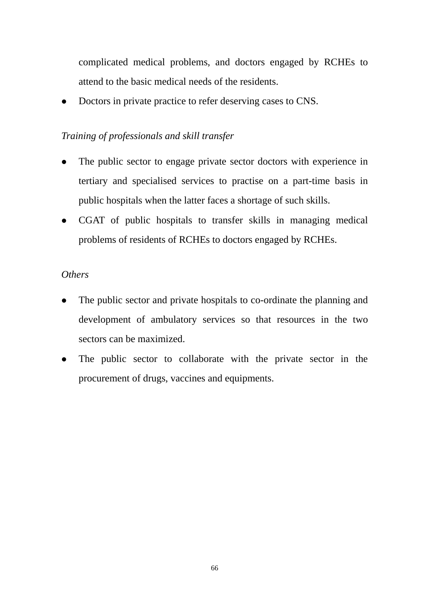complicated medical problems, and doctors engaged by RCHEs to attend to the basic medical needs of the residents.

Doctors in private practice to refer deserving cases to CNS.

# *Training of professionals and skill transfer*

- The public sector to engage private sector doctors with experience in tertiary and specialised services to practise on a part-time basis in public hospitals when the latter faces a shortage of such skills.
- CGAT of public hospitals to transfer skills in managing medical problems of residents of RCHEs to doctors engaged by RCHEs.

# *Others*

- The public sector and private hospitals to co-ordinate the planning and development of ambulatory services so that resources in the two sectors can be maximized.
- The public sector to collaborate with the private sector in the procurement of drugs, vaccines and equipments.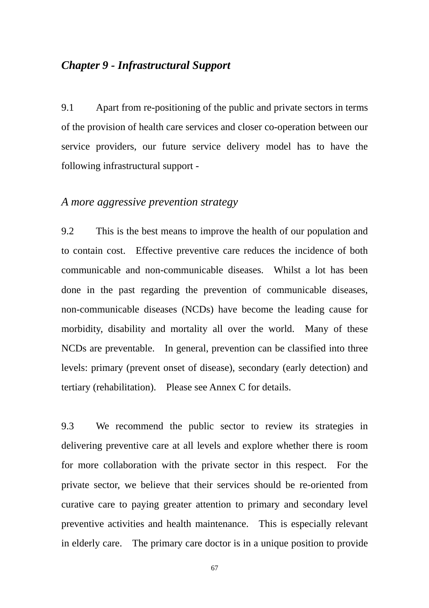# *Chapter 9 - Infrastructural Support*

9.1 Apart from re-positioning of the public and private sectors in terms of the provision of health care services and closer co-operation between our service providers, our future service delivery model has to have the following infrastructural support -

# *A more aggressive prevention strategy*

9.2 This is the best means to improve the health of our population and to contain cost. Effective preventive care reduces the incidence of both communicable and non-communicable diseases. Whilst a lot has been done in the past regarding the prevention of communicable diseases, non-communicable diseases (NCDs) have become the leading cause for morbidity, disability and mortality all over the world. Many of these NCDs are preventable. In general, prevention can be classified into three levels: primary (prevent onset of disease), secondary (early detection) and tertiary (rehabilitation). Please see Annex C for details.

9.3 We recommend the public sector to review its strategies in delivering preventive care at all levels and explore whether there is room for more collaboration with the private sector in this respect. For the private sector, we believe that their services should be re-oriented from curative care to paying greater attention to primary and secondary level preventive activities and health maintenance. This is especially relevant in elderly care. The primary care doctor is in a unique position to provide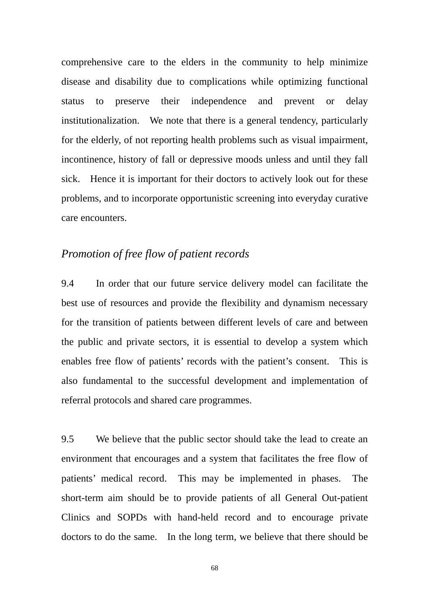comprehensive care to the elders in the community to help minimize disease and disability due to complications while optimizing functional status to preserve their independence and prevent or delay institutionalization. We note that there is a general tendency, particularly for the elderly, of not reporting health problems such as visual impairment, incontinence, history of fall or depressive moods unless and until they fall sick. Hence it is important for their doctors to actively look out for these problems, and to incorporate opportunistic screening into everyday curative care encounters.

# *Promotion of free flow of patient records*

9.4 In order that our future service delivery model can facilitate the best use of resources and provide the flexibility and dynamism necessary for the transition of patients between different levels of care and between the public and private sectors, it is essential to develop a system which enables free flow of patients' records with the patient's consent. This is also fundamental to the successful development and implementation of referral protocols and shared care programmes.

9.5 We believe that the public sector should take the lead to create an environment that encourages and a system that facilitates the free flow of patients' medical record. This may be implemented in phases. The short-term aim should be to provide patients of all General Out-patient Clinics and SOPDs with hand-held record and to encourage private doctors to do the same. In the long term, we believe that there should be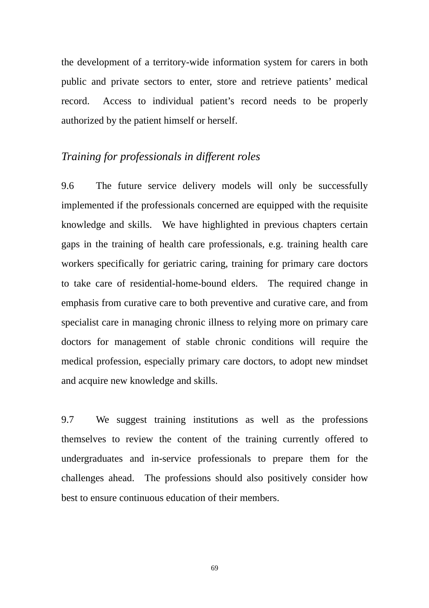the development of a territory-wide information system for carers in both public and private sectors to enter, store and retrieve patients' medical record. Access to individual patient's record needs to be properly authorized by the patient himself or herself.

# *Training for professionals in different roles*

9.6 The future service delivery models will only be successfully implemented if the professionals concerned are equipped with the requisite knowledge and skills. We have highlighted in previous chapters certain gaps in the training of health care professionals, e.g. training health care workers specifically for geriatric caring, training for primary care doctors to take care of residential-home-bound elders. The required change in emphasis from curative care to both preventive and curative care, and from specialist care in managing chronic illness to relying more on primary care doctors for management of stable chronic conditions will require the medical profession, especially primary care doctors, to adopt new mindset and acquire new knowledge and skills.

9.7 We suggest training institutions as well as the professions themselves to review the content of the training currently offered to undergraduates and in-service professionals to prepare them for the challenges ahead. The professions should also positively consider how best to ensure continuous education of their members.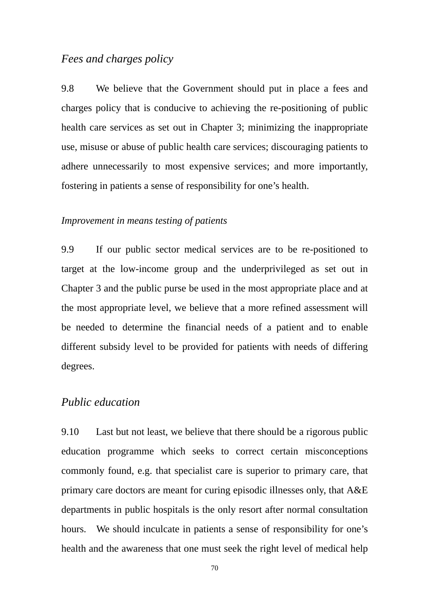# *Fees and charges policy*

9.8 We believe that the Government should put in place a fees and charges policy that is conducive to achieving the re-positioning of public health care services as set out in Chapter 3; minimizing the inappropriate use, misuse or abuse of public health care services; discouraging patients to adhere unnecessarily to most expensive services; and more importantly, fostering in patients a sense of responsibility for one's health.

## *Improvement in means testing of patients*

9.9 If our public sector medical services are to be re-positioned to target at the low-income group and the underprivileged as set out in Chapter 3 and the public purse be used in the most appropriate place and at the most appropriate level, we believe that a more refined assessment will be needed to determine the financial needs of a patient and to enable different subsidy level to be provided for patients with needs of differing degrees.

## *Public education*

9.10 Last but not least, we believe that there should be a rigorous public education programme which seeks to correct certain misconceptions commonly found, e.g. that specialist care is superior to primary care, that primary care doctors are meant for curing episodic illnesses only, that A&E departments in public hospitals is the only resort after normal consultation hours. We should inculcate in patients a sense of responsibility for one's health and the awareness that one must seek the right level of medical help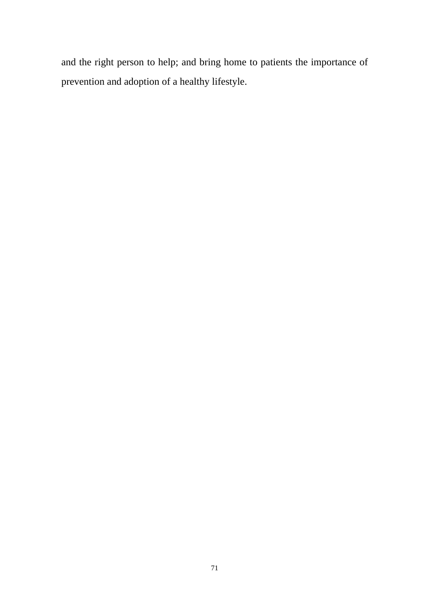and the right person to help; and bring home to patients the importance of prevention and adoption of a healthy lifestyle.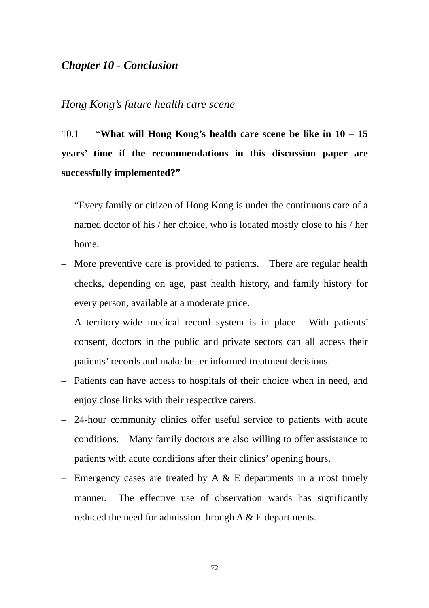# *Chapter 10 - Conclusion*

# *Hong Kong's future health care scene*

10.1 "**What will Hong Kong's health care scene be like in 10 – 15 years' time if the recommendations in this discussion paper are successfully implemented?"** 

- "Every family or citizen of Hong Kong is under the continuous care of a named doctor of his / her choice, who is located mostly close to his / her home.
- More preventive care is provided to patients. There are regular health checks, depending on age, past health history, and family history for every person, available at a moderate price.
- A territory-wide medical record system is in place. With patients' consent, doctors in the public and private sectors can all access their patients' records and make better informed treatment decisions.
- Patients can have access to hospitals of their choice when in need, and enjoy close links with their respective carers.
- patients with acute conditions after their clinics' opening hours. – 24-hour community clinics offer useful service to patients with acute conditions. Many family doctors are also willing to offer assistance to
- Emergency cases are treated by A  $&$  E departments in a most timely manner. The effective use of observation wards has significantly reduced the need for admission through A & E departments.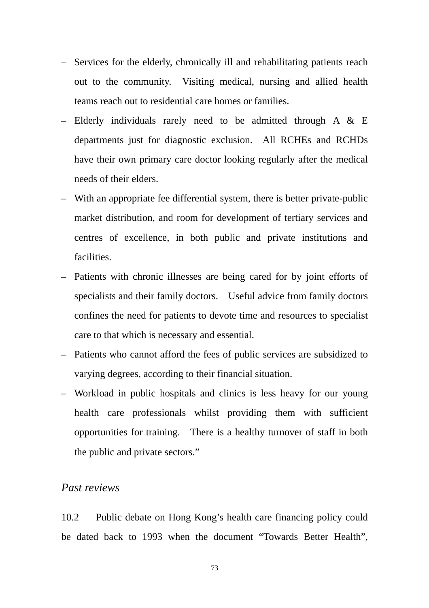- Services for the elderly, chronically ill and rehabilitating patients reach out to the community. Visiting medical, nursing and allied health teams reach out to residential care homes or families.
- Elderly individuals rarely need to be admitted through A & E departments just for diagnostic exclusion. All RCHEs and RCHDs have their own primary care doctor looking regularly after the medical needs of their elders.
- With an appropriate fee differential system, there is better private-public market distribution, and room for development of tertiary services and centres of excellence, in both public and private institutions and facilities.
- Patients with chronic illnesses are being cared for by joint efforts of specialists and their family doctors. Useful advice from family doctors confines the need for patients to devote time and resources to specialist care to that which is necessary and essential.
- Patients who cannot afford the fees of public services are subsidized to varying degrees, according to their financial situation.
- Workload in public hospitals and clinics is less heavy for our young health care professionals whilst providing them with sufficient opportunities for training. There is a healthy turnover of staff in both the public and private sectors."

## *Past reviews*

10.2 Public debate on Hong Kong's health care financing policy could be dated back to 1993 when the document "Towards Better Health",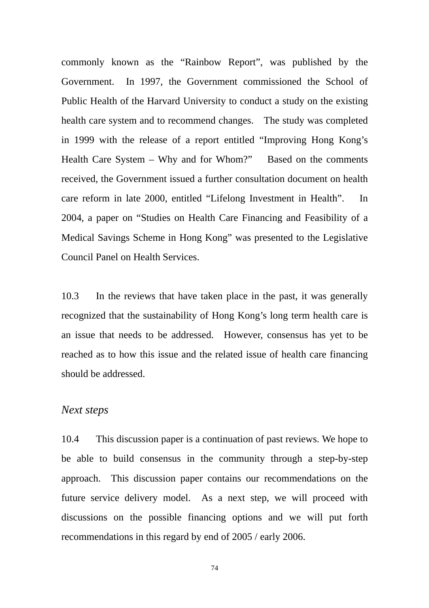commonly known as the "Rainbow Report", was published by the Government. In 1997, the Government commissioned the School of Public Health of the Harvard University to conduct a study on the existing health care system and to recommend changes. The study was completed in 1999 with the release of a report entitled "Improving Hong Kong's Health Care System – Why and for Whom?" Based on the comments received, the Government issued a further consultation document on health care reform in late 2000, entitled "Lifelong Investment in Health". In 2004, a paper on "Studies on Health Care Financing and Feasibility of a Medical Savings Scheme in Hong Kong" was presented to the Legislative Council Panel on Health Services.

 an issue that needs to be addressed. However, consensus has yet to be 10.3 In the reviews that have taken place in the past, it was generally recognized that the sustainability of Hong Kong's long term health care is reached as to how this issue and the related issue of health care financing should be addressed.

#### *Next steps*

10.4 This discussion paper is a continuation of past reviews. We hope to be able to build consensus in the community through a step-by-step approach. This discussion paper contains our recommendations on the future service delivery model. As a next step, we will proceed with discussions on the possible financing options and we will put forth recommendations in this regard by end of 2005 / early 2006.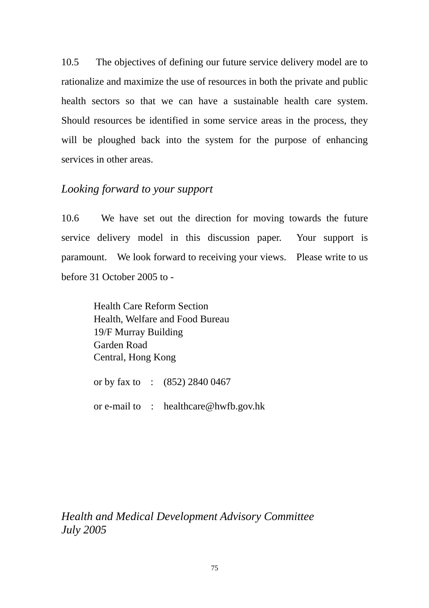10.5 The objectives of defining our future service delivery model are to rationalize and maximize the use of resources in both the private and public health sectors so that we can have a sustainable health care system. Should resources be identified in some service areas in the process, they will be ploughed back into the system for the purpose of enhancing services in other areas.

# *Looking forward to your support*

10.6 We have set out the direction for moving towards the future service delivery model in this discussion paper. Your support is paramount. We look forward to receiving your views. Please write to us before 31 October 2005 to -

> Health Care Reform Section Health, Welfare and Food Bureau 19/F Murray Building Garden Road Central, Hong Kong

or by fax to : (852) 2840 0467

or e-mail to : healthcare@hwfb.gov.hk

*Health and Medical Development Advisory Committee July 2005*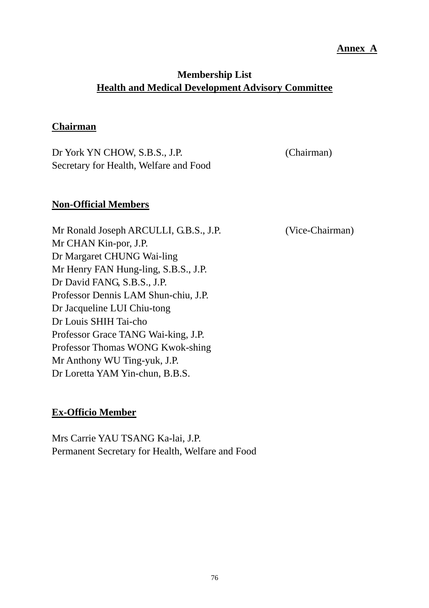## **Annex A**

# **Membership List Health and Medical Development Advisory Committee**

## **Chairman**

Dr York YN CHOW, S.B.S., J.P. (Chairman) Secretary for Health, Welfare and Food

## **Non-Official Members**

 Mr CHAN Kin-por, J.P. Mr Ronald Joseph ARCULLI, G.B.S., J.P. (Vice-Chairman) Dr Margaret CHUNG Wai-ling Mr Henry FAN Hung-ling, S.B.S., J.P. Dr David FANG, S.B.S., J.P. Professor Dennis LAM Shun-chiu, J.P. Dr Jacqueline LUI Chiu-tong Dr Louis SHIH Tai-cho Professor Grace TANG Wai-king, J.P. Professor Thomas WONG Kwok-shing Mr Anthony WU Ting-yuk, J.P. Dr Loretta YAM Yin-chun, B.B.S.

# **Ex-Officio Member**

Mrs Carrie YAU TSANG Ka-lai, J.P. Permanent Secretary for Health, Welfare and Food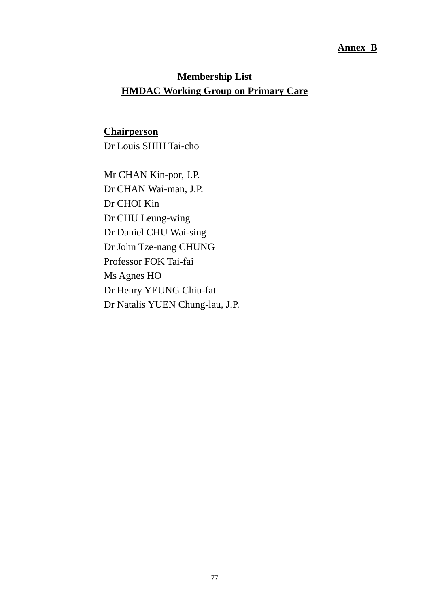### **Annex B**

# **Membership List HMDAC Working Group on Primary Care**

# **Chairperson**

Dr Louis SHIH Tai-cho

Dr Natalis YUEN Chung-lau, J.P. Mr CHAN Kin-por, J.P. Dr CHAN Wai-man, J.P. Dr CHOI Kin Dr CHU Leung-wing Dr Daniel CHU Wai-sing Dr John Tze-nang CHUNG Professor FOK Tai-fai Ms Agnes HO Dr Henry YEUNG Chiu-fat Dr Natalis YUEN Chung-lau, J.P. 77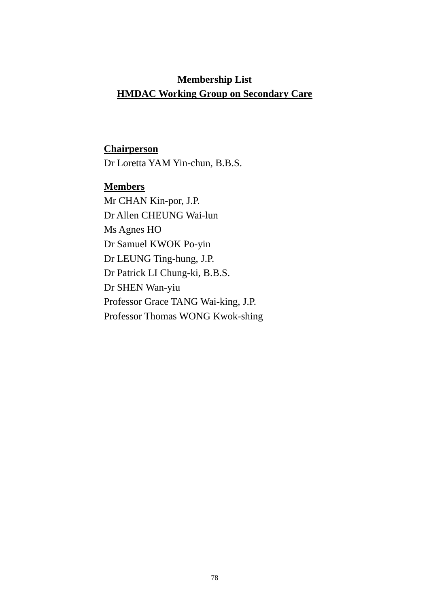# **Membership List HMDAC Working Group on Secondary Care**

# **Chairperson**

Dr Loretta YAM Yin-chun, B.B.S.

# **Members**

Mr CHAN Kin-por, J.P. Dr Allen CHEUNG Wai-lun Ms Agnes HO Dr Samuel KWOK Po-yin Dr LEUNG Ting-hung, J.P. Dr Patrick LI Chung-ki, B.B.S. Dr SHEN Wan-yiu Professor Grace TANG Wai-king, J.P. Professor Thomas WONG Kwok-shing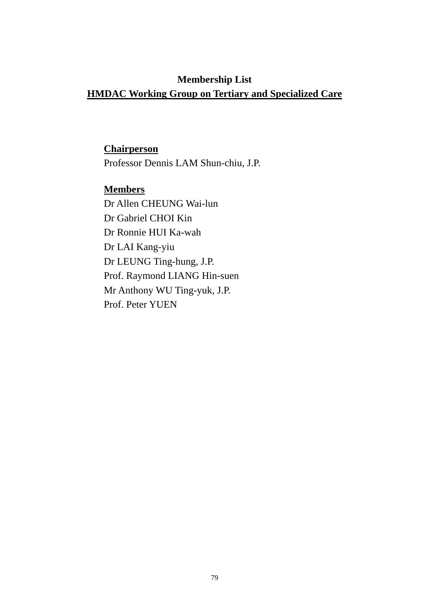# **Membership List**

# **HMDAC Working Group on Tertiary and Specialized Care**

## **Chairperson**

Professor Dennis LAM Shun-chiu, J.P.

# **Members**

Dr Allen CHEUNG Wai-lun Dr Gabriel CHOI Kin Dr Ronnie HUI Ka-wah Dr LAI Kang-yiu Dr LEUNG Ting-hung, J.P. Prof. Raymond LIANG Hin-suen Mr Anthony WU Ting-yuk, J.P. Prof. Peter YUEN